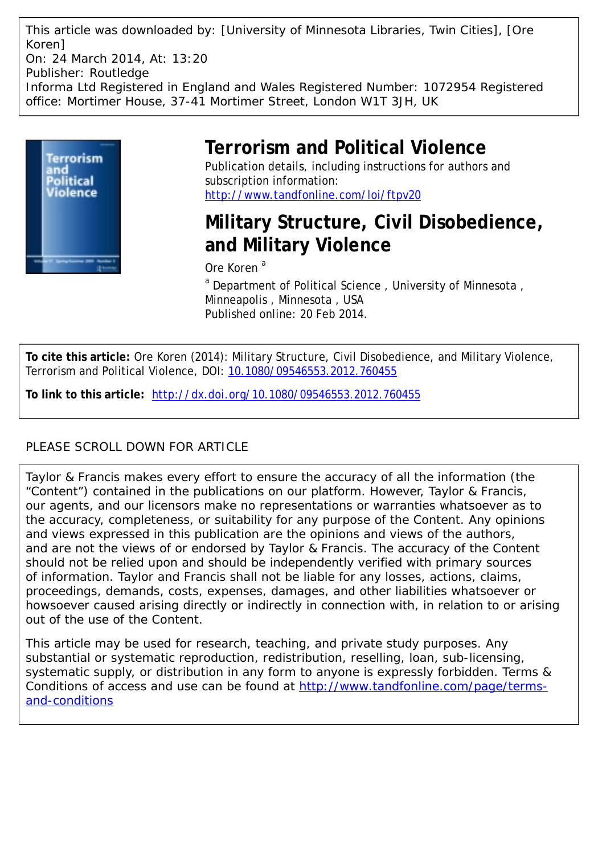This article was downloaded by: [University of Minnesota Libraries, Twin Cities], [Ore Koren] On: 24 March 2014, At: 13:20 Publisher: Routledge Informa Ltd Registered in England and Wales Registered Number: 1072954 Registered office: Mortimer House, 37-41 Mortimer Street, London W1T 3JH, UK



## **Terrorism and Political Violence**

Publication details, including instructions for authors and subscription information: <http://www.tandfonline.com/loi/ftpv20>

# **Military Structure, Civil Disobedience, and Military Violence**

Ore Koren<sup>a</sup>

<sup>a</sup> Department of Political Science, University of Minnesota, Minneapolis , Minnesota , USA Published online: 20 Feb 2014.

**To cite this article:** Ore Koren (2014): Military Structure, Civil Disobedience, and Military Violence, Terrorism and Political Violence, DOI: [10.1080/09546553.2012.760455](http://www.tandfonline.com/action/showCitFormats?doi=10.1080/09546553.2012.760455)

**To link to this article:** <http://dx.doi.org/10.1080/09546553.2012.760455>

### PLEASE SCROLL DOWN FOR ARTICLE

Taylor & Francis makes every effort to ensure the accuracy of all the information (the "Content") contained in the publications on our platform. However, Taylor & Francis, our agents, and our licensors make no representations or warranties whatsoever as to the accuracy, completeness, or suitability for any purpose of the Content. Any opinions and views expressed in this publication are the opinions and views of the authors, and are not the views of or endorsed by Taylor & Francis. The accuracy of the Content should not be relied upon and should be independently verified with primary sources of information. Taylor and Francis shall not be liable for any losses, actions, claims, proceedings, demands, costs, expenses, damages, and other liabilities whatsoever or howsoever caused arising directly or indirectly in connection with, in relation to or arising out of the use of the Content.

This article may be used for research, teaching, and private study purposes. Any substantial or systematic reproduction, redistribution, reselling, loan, sub-licensing, systematic supply, or distribution in any form to anyone is expressly forbidden. Terms & Conditions of access and use can be found at [http://www.tandfonline.com/page/terms](http://www.tandfonline.com/page/terms-and-conditions)[and-conditions](http://www.tandfonline.com/page/terms-and-conditions)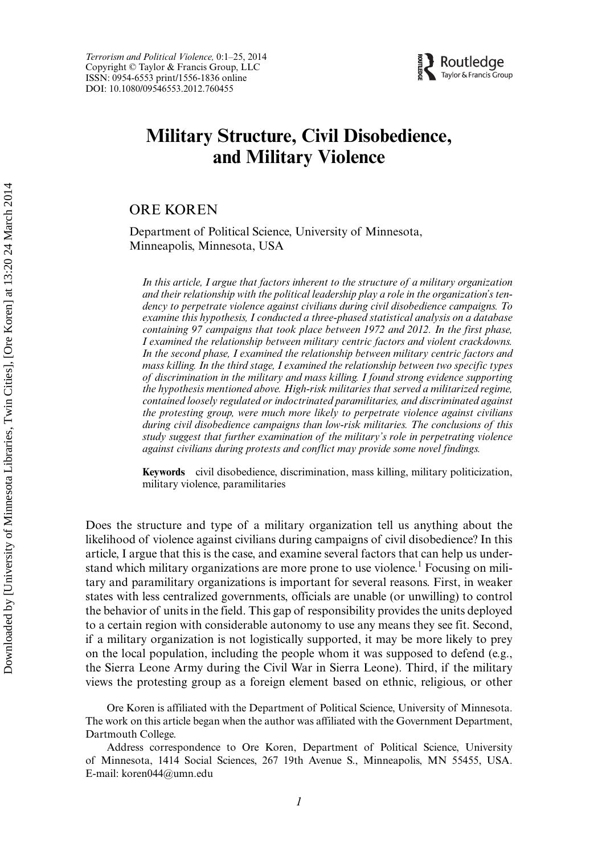

### **Military Structure, Civil Disobedience, and Military Violence**

ORE KOREN

Department of Political Science, University of Minnesota, Minneapolis, Minnesota, USA

*In this article, I argue that factors inherent to the structure of a military organization and their relationship with the political leadership play a role in the organization's tendency to perpetrate violence against civilians during civil disobedience campaigns. To examine this hypothesis, I conducted a three-phased statistical analysis on a database containing 97 campaigns that took place between 1972 and 2012. In the first phase, I examined the relationship between military centric factors and violent crackdowns. In the second phase, I examined the relationship between military centric factors and mass killing. In the third stage, I examined the relationship between two specific types of discrimination in the military and mass killing. I found strong evidence supporting the hypothesis mentioned above. High-risk militaries that served a militarized regime, contained loosely regulated or indoctrinated paramilitaries, and discriminated against the protesting group, were much more likely to perpetrate violence against civilians during civil disobedience campaigns than low-risk militaries. The conclusions of this study suggest that further examina tion of the military's role in perpetrating violence against civilians during protests and conflict may provide some novel findings.*

**Keywords** civil disobedience, discrimination, mass killing, military politicization, military violence, paramilitaries

Does the structure and type of a military organization tell us anything about the likelihood of violence against civilians during campaigns of civil disobedience? In this article, I argue that this is the case, and examine several factors that can help us understand which military organizations are more prone to use violence.<sup>1</sup> Focusing on military and paramilitary organizations is important for several reasons. First, in weaker states with less centralized governments, officials are unable (or unwilling) to control the behavior of units in the field. This gap of responsibility provides the units deployed to a certain region with considerable autonomy to use any means they see fit. Second, if a military organization is not logistically supported, it may be more likely to prey on the local population, including the people whom it was supposed to defend (e.g., the Sierra Leone Army during the Civil War in Sierra Leone). Third, if the military views the protesting group as a foreign element based on ethnic, religious, or other

Ore Koren is affiliated with the Department of Political Science, University of Minnesota. The work on this article began when the author was affiliated with the Government Department, Dartmouth College.

Address correspondence to Ore Koren, Department of Political Science, University of Minnesota, 1414 Social Sciences, 267 19th Avenue S., Minneapolis, MN 55455, USA. E-mail: koren044@umn.edu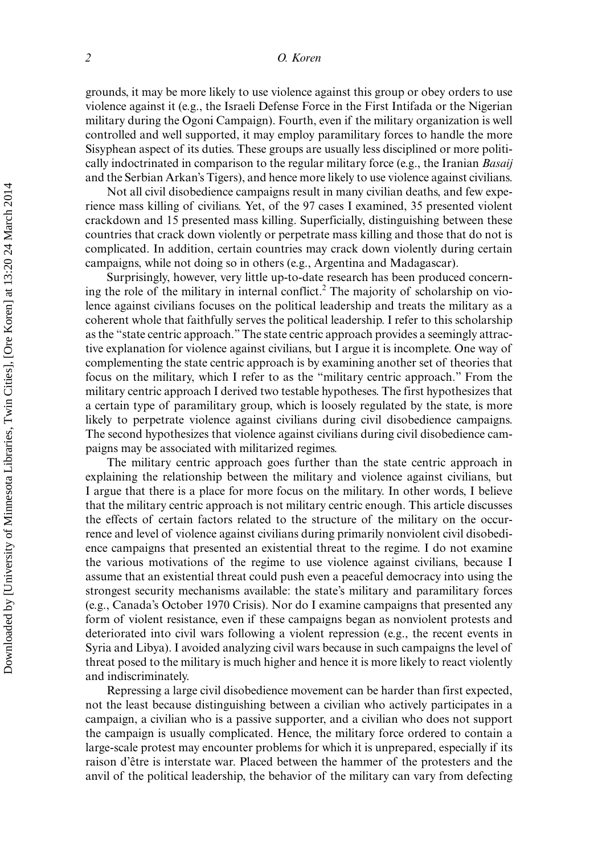#### *2 O. Koren*

grounds, it may be more likely to use violence against this group or obey orders to use violence against it (e.g., the Israeli Defense Force in the First Intifada or the Nigerian military during the Ogoni Campaign). Fourth, even if the military organization is well controlled and well supported, it may employ paramilitary forces to handle the more Sisyphean aspect of its duties. These groups are usually less disciplined or more politically indoctrinated in comparison to the regular military force (e.g., the Iranian *Basaij* and the Serbian Arkan's Tigers), and hence more likely to use violence against civilians.

Not all civil disobedience campaigns result in many civilian deaths, and few experience mass killing of civilians. Yet, of the 97 cases I examined, 35 presented violent crackdown and 15 presented mass killing. Superficially, distinguishing between these countries that crack down violently or perpetrate mass killing and those that do not is complicated. In addition, certain countries may crack down violently during certain campaigns, while not doing so in others (e.g., Argentina and Madagascar).

Surprisingly, however, very little up-to-date research has been produced concerning the role of the military in internal conflict.<sup>2</sup> The majority of scholarship on violence against civilians focuses on the political leadership and treats the military as a coherent whole that faithfully serves the political leadership. I refer to this scholarship as the "state centric approach." The state centric approach provides a seemingly attractive explanation for violence against civilians, but I argue it is incomplete. One way of complementing the state centric approach is by examining another set of theories that focus on the military, which I refer to as the "military centric approach." From the military centric approach I derived two testable hypotheses. The first hypothesizes that a certain type of paramilitary group, which is loosely regulated by the state, is more likely to perpetrate violence against civilians during civil disobedience campaigns. The second hypothesizes that violence against civilians during civil disobedience campaigns may be associated with militarized regimes.

The military centric approach goes further than the state centric approach in explaining the relationship between the military and violence against civilians, but I argue that there is a place for more focus on the military. In other words, I believe that the military centric approach is not military centric enough. This article discusses the effects of certain factors related to the structure of the military on the occurrence and level of violence against civilians during primarily nonviolent civil disobedience campaigns that presented an existential threat to the regime. I do not examine the various motivations of the regime to use violence against civilians, because I assume that an existential threat could push even a peaceful democracy into using the strongest security mechanisms available: the state's military and paramilitary forces (e.g., Canada's October 1970 Crisis). Nor do I examine campaigns that presented any form of violent resistance, even if these campaigns began as nonviolent protests and deteriorated into civil wars following a violent repression (e.g., the recent events in Syria and Libya). I avoided analyzing civil wars because in such campaigns the level of threat posed to the military is much higher and hence it is more likely to react violently and indiscriminately.

Repressing a large civil disobedience movement can be harder than first expected, not the least because distinguishing between a civilian who actively participates in a campaign, a civilian who is a passive supporter, and a civilian who does not support the campaign is usually complicated. Hence, the military force ordered to contain a large-scale protest may encounter problems for which it is unprepared, especially if its raison d'être is interstate war. Placed between the hammer of the protesters and the anvil of the political leadership, the behavior of the military can vary from defecting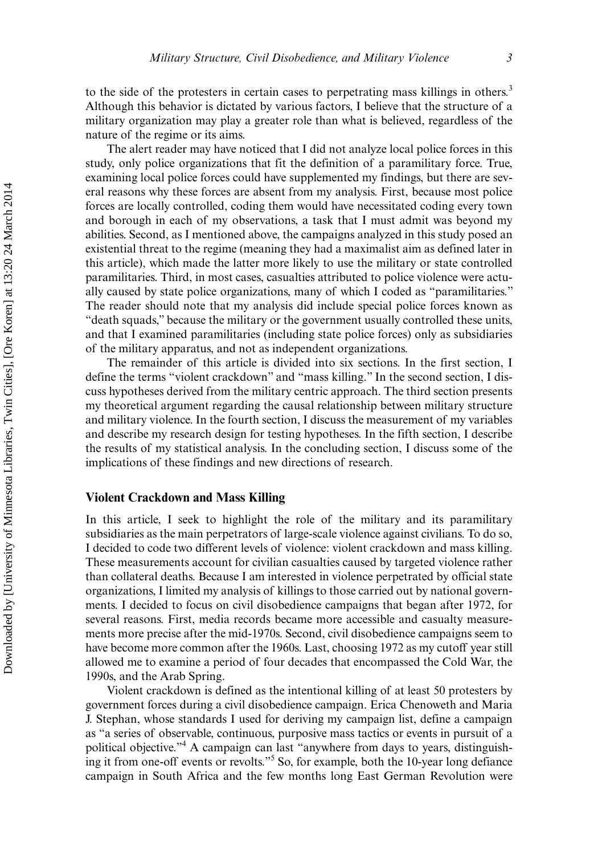to the side of the protesters in certain cases to perpetrating mass killings in others.<sup>3</sup> Although this behavior is dictated by various factors, I believe that the structure of a military organization may play a greater role than what is believed, regardless of the nature of the regime or its aims.

The alert reader may have noticed that I did not analyze local police forces in this study, only police organizations that fit the definition of a paramilitary force. True, examining local police forces could have supplemented my findings, but there are several reasons why these forces are absent from my analysis. First, because most police forces are locally controlled, coding them would have necessitated coding every town and borough in each of my observations, a task that I must admit was beyond my abilities. Second, as I mentioned above, the campaigns analyzed in this study posed an existential threat to the regime (meaning they had a maximalist aim as defined later in this article), which made the latter more likely to use the military or state controlled paramilitaries. Third, in most cases, casualties attributed to police violence were actually caused by state police organizations, many of which I coded as "paramilitaries." The reader should note that my analysis did include special police forces known as "death squads," because the military or the government usually controlled these units, and that I examined paramilitaries (including state police forces) only as subsidiaries of the military apparatus, and not as independent organizations.

The remainder of this article is divided into six sections. In the first section, I define the terms "violent crackdown" and "mass killing." In the second section, I discuss hypotheses derived from the military centric approach. The third section presents my theoretical argument regarding the causal relationship between military structure and military violence. In the fourth section, I discuss the measurement of my variables and describe my research design for testing hypotheses. In the fifth section, I describe the results of my statistical analysis. In the concluding section, I discuss some of the implications of these findings and new directions of research.

#### **Violent Crackdown and Mass Killing**

In this article, I seek to highlight the role of the military and its paramilitary subsidiaries as the main perpetrators of large-scale violence against civilians. To do so, I decided to code two different levels of violence: violent crackdown and mass killing. These measurements account for civilian casualties caused by targeted violence rather than collateral deaths. Because I am interested in violence perpetrated by official state organizations, I limited my analysis of killings to those carried out by national governments. I decided to focus on civil disobedience campaigns that began after 1972, for several reasons. First, media records became more accessible and casualty measurements more precise after the mid-1970s. Second, civil disobedience campaigns seem to have become more common after the 1960s. Last, choosing 1972 as my cutoff year still allowed me to examine a period of four decades that encompassed the Cold War, the 1990s, and the Arab Spring.

Violent crackdown is defined as the intentional killing of at least 50 protesters by government forces during a civil disobedience campaign. Erica Chenoweth and Maria J. Stephan, whose standards I used for deriving my campaign list, define a campaign as "a series of observable, continuous, purposive mass tactics or events in pursuit of a political objective."<sup>4</sup> A campaign can last "anywhere from days to years, distinguishing it from one-off events or revolts."5 So, for example, both the 10-year long defiance campaign in South Africa and the few months long East German Revolution were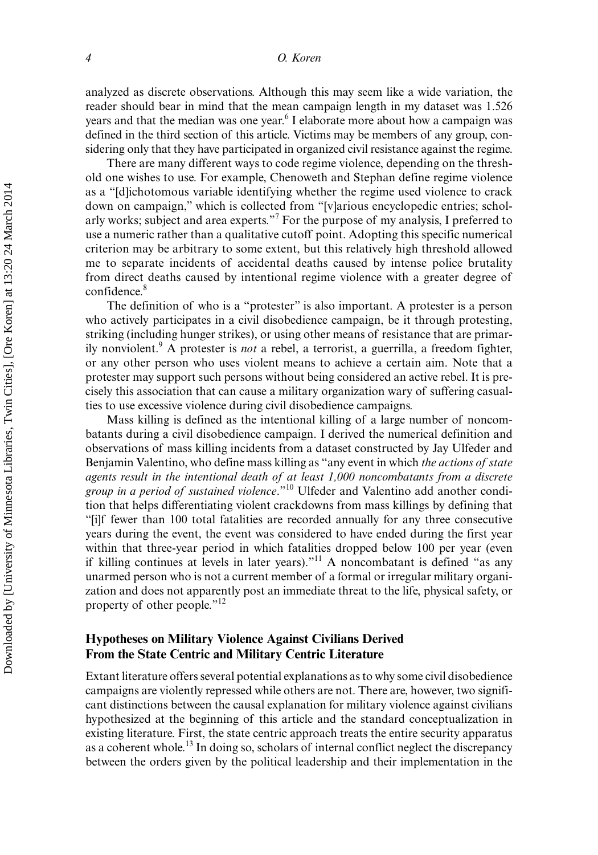#### *4 O. Koren*

analyzed as discrete observations. Although this may seem like a wide variation, the reader should bear in mind that the mean campaign length in my dataset was 1.526 years and that the median was one year.<sup>6</sup> I elaborate more about how a campaign was defined in the third section of this article. Victims may be members of any group, considering only that they have participated in organized civil resistance against the regime.

There are many different ways to code regime violence, depending on the threshold one wishes to use. For example, Chenoweth and Stephan define regime violence as a "[d]ichotomous variable identifying whether the regime used violence to crack down on campaign," which is collected from "[v]arious encyclopedic entries; scholarly works; subject and area experts."<sup>7</sup> For the purpose of my analysis, I preferred to use a numeric rather than a qualitative cutoff point. Adopting this specific numerical criterion may be arbitrary to some extent, but this relatively high threshold allowed me to separate incidents of accidental deaths caused by intense police brutality from direct deaths caused by intentional regime violence with a greater degree of confidence.<sup>8</sup>

The definition of who is a "protester" is also important. A protester is a person who actively participates in a civil disobedience campaign, be it through protesting, striking (including hunger strikes), or using other means of resistance that are primarily nonviolent.9 A protester is *not* a rebel, a terrorist, a guerrilla, a freedom fighter, or any other person who uses violent means to achieve a certain aim. Note that a protester may support such persons without being considered an active rebel. It is precisely this association that can cause a military organization wary of suffering casualties to use excessive violence during civil disobedience campaigns.

Mass killing is defined as the intentional killing of a large number of noncombatants during a civil disobedience campaign. I derived the numerical definition and observations of mass killing incidents from a dataset constructed by Jay Ulfeder and Benjamin Valentino, who define mass killing as "any event in which *the actions of state agents result in the intentional death of at least 1,000 noncombatants from a discrete group in a period of sustained violence*."10 Ulfeder and Valentino add another condition that helps differentiating violent crackdowns from mass killings by defining that "[i]f fewer than 100 total fatalities are recorded annually for any three consecutive years during the event, the event was considered to have ended during the first year within that three-year period in which fatalities dropped below 100 per year (even if killing continues at levels in later years)."11 A noncombatant is defined "as any unarmed person who is not a current member of a formal or irregular military organization and does not apparently post an immediate threat to the life, physical safety, or property of other people."<sup>12</sup>

#### **Hypotheses on Military Violence Against Civilians Derived From the State Centric and Military Centric Literature**

Extant literature offers several potential explanations as to why some civil disobedience campaigns are violently repressed while others are not. There are, however, two significant distinctions between the causal explanation for military violence against civilians hypothesized at the beginning of this article and the standard conceptualization in existing literature. First, the state centric approach treats the entire security apparatus as a coherent whole.<sup>13</sup> In doing so, scholars of internal conflict neglect the discrepancy between the orders given by the political leadership and their implementation in the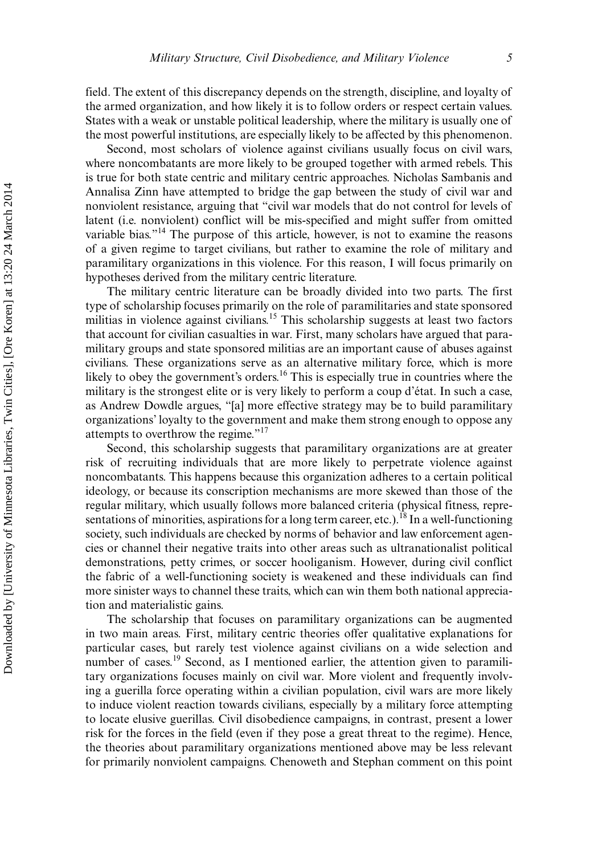field. The extent of this discrepancy depends on the strength, discipline, and loyalty of the armed organization, and how likely it is to follow orders or respect certain values. States with a weak or unstable political leadership, where the military is usually one of the most powerful institutions, are especially likely to be affected by this phenomenon.

Second, most scholars of violence against civilians usually focus on civil wars, where noncombatants are more likely to be grouped together with armed rebels. This is true for both state centric and military centric approaches. Nicholas Sambanis and Annalisa Zinn have attempted to bridge the gap between the study of civil war and nonviolent resistance, arguing that "civil war models that do not control for levels of latent (i.e. nonviolent) conflict will be mis-specified and might suffer from omitted variable bias."<sup>14</sup> The purpose of this article, however, is not to examine the reasons of a given regime to target civilians, but rather to examine the role of military and paramilitary organizations in this violence. For this reason, I will focus primarily on hypotheses derived from the military centric literature.

The military centric literature can be broadly divided into two parts. The first type of scholarship focuses primarily on the role of paramilitaries and state sponsored militias in violence against civilians.<sup>15</sup> This scholarship suggests at least two factors that account for civilian casualties in war. First, many scholars have argued that paramilitary groups and state sponsored militias are an important cause of abuses against civilians. These organizations serve as an alternative military force, which is more likely to obey the government's orders.<sup>16</sup> This is especially true in countries where the military is the strongest elite or is very likely to perform a coup d'état. In such a case, as Andrew Dowdle argues, "[a] more effective strategy may be to build paramilitary organizations' loyalty to the government and make them strong enough to oppose any attempts to overthrow the regime."<sup>17</sup>

Second, this scholarship suggests that paramilitary organizations are at greater risk of recruiting individuals that are more likely to perpetrate violence against noncombatants. This happens because this organization adheres to a certain political ideology, or because its conscription mechanisms are more skewed than those of the regular military, which usually follows more balanced criteria (physical fitness, representations of minorities, aspirations for a long term career, etc.).<sup>18</sup> In a well-functioning society, such individuals are checked by norms of behavior and law enforcement agencies or channel their negative traits into other areas such as ultranationalist political demonstrations, petty crimes, or soccer hooliganism. However, during civil conflict the fabric of a well-functioning society is weakened and these individuals can find more sinister ways to channel these traits, which can win them both national appreciation and materialistic gains.

The scholarship that focuses on paramilitary organizations can be augmented in two main areas. First, military centric theories offer qualitative explanations for particular cases, but rarely test violence against civilians on a wide selection and number of cases.<sup>19</sup> Second, as I mentioned earlier, the attention given to paramilitary organizations focuses mainly on civil war. More violent and frequently involving a guerilla force operating within a civilian population, civil wars are more likely to induce violent reaction towards civilians, especially by a military force attempting to locate elusive guerillas. Civil disobedience campaigns, in contrast, present a lower risk for the forces in the field (even if they pose a great threat to the regime). Hence, the theories about paramilitary organizations mentioned above may be less relevant for primarily nonviolent campaigns. Chenoweth and Stephan comment on this point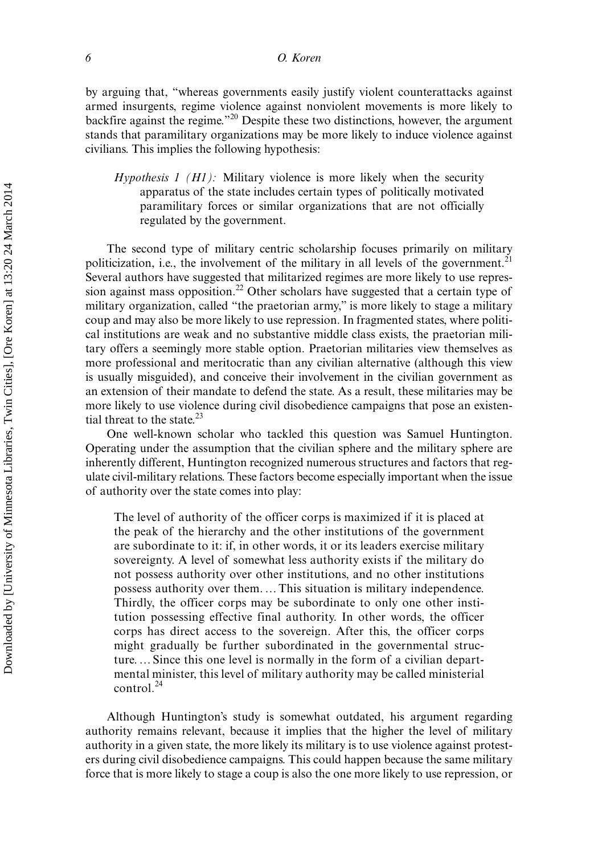by arguing that, "whereas governments easily justify violent counterattacks against armed insurgents, regime violence against nonviolent movements is more likely to backfire against the regime."<sup>20</sup> Despite these two distinctions, however, the argument stands that paramilitary organizations may be more likely to induce violence against civilians. This implies the following hypothesis:

*Hypothesis 1 (H1):* Military violence is more likely when the security apparatus of the state includes certain types of politically motivated paramilitary forces or similar organizations that are not officially regulated by the government.

The second type of military centric scholarship focuses primarily on military politicization, i.e., the involvement of the military in all levels of the government.<sup>21</sup> Several authors have suggested that militarized regimes are more likely to use repression against mass opposition.<sup>22</sup> Other scholars have suggested that a certain type of military organization, called "the praetorian army," is more likely to stage a military coup and may also be more likely to use repression. In fragmented states, where political institutions are weak and no substantive middle class exists, the praetorian military offers a seemingly more stable option. Praetorian militaries view themselves as more professional and meritocratic than any civilian alternative (although this view is usually misguided), and conceive their involvement in the civilian government as an extension of their mandate to defend the state. As a result, these militaries may be more likely to use violence during civil disobedience campaigns that pose an existential threat to the state.<sup>23</sup>

One well-known scholar who tackled this question was Samuel Huntington. Operating under the assumption that the civilian sphere and the military sphere are inherently different, Huntington recognized numerous structures and factors that regulate civil-military relations. These factors become especially important when the issue of authority over the state comes into play:

The level of authority of the officer corps is maximized if it is placed at the peak of the hierarchy and the other institutions of the government are subordinate to it: if, in other words, it or its leaders exercise military sovereignty. A level of somewhat less authority exists if the military do not possess authority over other institutions, and no other institutions possess authority over them. … This situation is military independence. Thirdly, the officer corps may be subordinate to only one other institution possessing effective final authority. In other words, the officer corps has direct access to the sovereign. After this, the officer corps might gradually be further subordinated in the governmental structure. … Since this one level is normally in the form of a civilian departmental minister, this level of military authority may be called ministerial control. $^{24}$ 

Although Huntington's study is somewhat outdated, his argument regarding authority remains relevant, because it implies that the higher the level of military authority in a given state, the more likely its military is to use violence against protesters during civil disobedience campaigns. This could happen because the same military force that is more likely to stage a coup is also the one more likely to use repression, or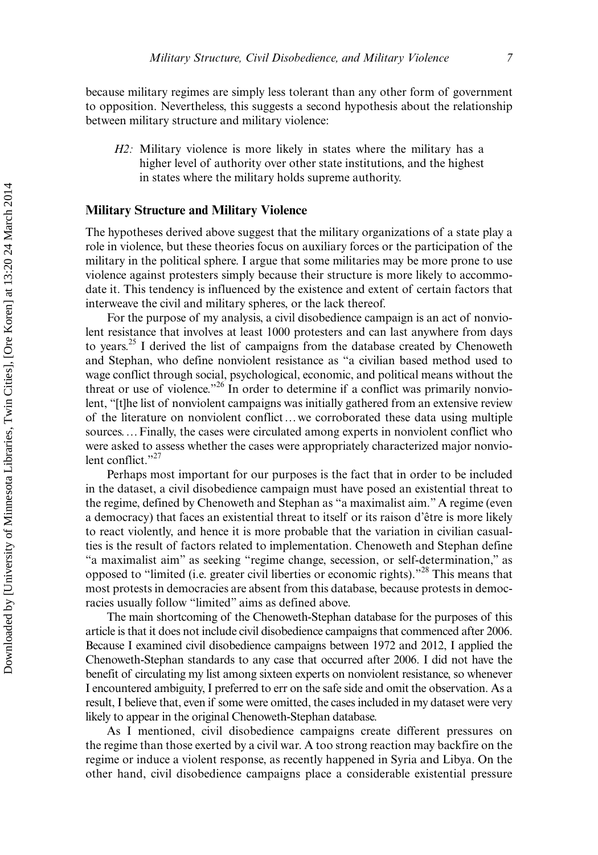because military regimes are simply less tolerant than any other form of government to opposition. Nevertheless, this suggests a second hypothesis about the relationship between military structure and military violence:

*H2:* Military violence is more likely in states where the military has a higher level of authority over other state institutions, and the highest in states where the military holds supreme authority.

#### **Military Structure and Military Violence**

The hypotheses derived above suggest that the military organizations of a state play a role in violence, but these theories focus on auxiliary forces or the participation of the military in the political sphere. I argue that some militaries may be more prone to use violence against protesters simply because their structure is more likely to accommodate it. This tendency is influenced by the existence and extent of certain factors that interweave the civil and military spheres, or the lack thereof.

For the purpose of my analysis, a civil disobedience campaign is an act of nonviolent resistance that involves at least 1000 protesters and can last anywhere from days to years. $25$  I derived the list of campaigns from the database created by Chenoweth and Stephan, who define nonviolent resistance as "a civilian based method used to wage conflict through social, psychological, economic, and political means without the threat or use of violence."<sup>26</sup> In order to determine if a conflict was primarily nonviolent, "[t]he list of nonviolent campaigns was initially gathered from an extensive review of the literature on nonviolent conflict … we corroborated these data using multiple sources. … Finally, the cases were circulated among experts in nonviolent conflict who were asked to assess whether the cases were appropriately characterized major nonviolent conflict."<sup>27</sup>

Perhaps most important for our purposes is the fact that in order to be included in the dataset, a civil disobedience campaign must have posed an existential threat to the regime, defined by Chenoweth and Stephan as "a maximalist aim." A regime (even a democracy) that faces an existential threat to itself or its raison d'être is more likely to react violently, and hence it is more probable that the variation in civilian casualties is the result of factors related to implementation. Chenoweth and Stephan define "a maximalist aim" as seeking "regime change, secession, or self-determination," as opposed to "limited (i.e. greater civil liberties or economic rights)."<sup>28</sup> This means that most protests in democracies are absent from this database, because protests in democracies usually follow "limited" aims as defined above.

The main shortcoming of the Chenoweth-Stephan database for the purposes of this article is that it does not include civil disobedience campaigns that commenced after 2006. Because I examined civil disobedience campaigns between 1972 and 2012, I applied the Chenoweth-Stephan standards to any case that occurred after 2006. I did not have the benefit of circulating my list among sixteen experts on nonviolent resistance, so whenever I encountered ambiguity, I preferred to err on the safe side and omit the observation. As a result, I believe that, even if some were omitted, the cases included in my dataset were very likely to appear in the original Chenoweth-Stephan database.

As I mentioned, civil disobedience campaigns create different pressures on the regime than those exerted by a civil war. A too strong reaction may backfire on the regime or induce a violent response, as recently happened in Syria and Libya. On the other hand, civil disobedience campaigns place a considerable existential pressure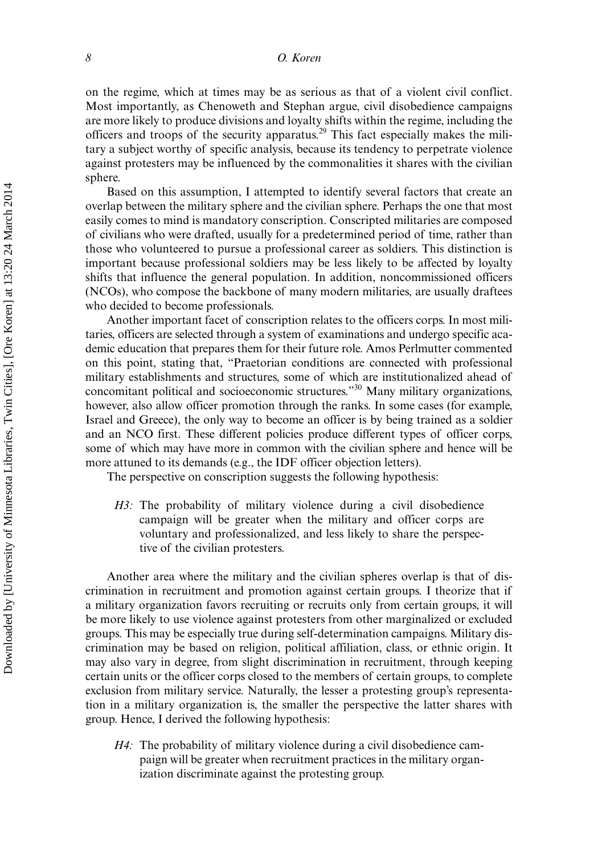#### *8 O. Koren*

on the regime, which at times may be as serious as that of a violent civil conflict. Most importantly, as Chenoweth and Stephan argue, civil disobedience campaigns are more likely to produce divisions and loyalty shifts within the regime, including the officers and troops of the security apparatus.<sup>29</sup> This fact especially makes the military a subject worthy of specific analysis, because its tendency to perpetrate violence against protesters may be influenced by the commonalities it shares with the civilian sphere.

Based on this assumption, I attempted to identify several factors that create an overlap between the military sphere and the civilian sphere. Perhaps the one that most easily comes to mind is mandatory conscription. Conscripted militaries are composed of civilians who were drafted, usually for a predetermined period of time, rather than those who volunteered to pursue a professional career as soldiers. This distinction is important because professional soldiers may be less likely to be affected by loyalty shifts that influence the general population. In addition, noncommissioned officers (NCOs), who compose the backbone of many modern militaries, are usually draftees who decided to become professionals.

Another important facet of conscription relates to the officers corps. In most militaries, officers are selected through a system of examinations and undergo specific academic education that prepares them for their future role. Amos Perlmutter commented on this point, stating that, "Praetorian conditions are connected with professional military establishments and structures, some of which are institutionalized ahead of concomitant political and socioeconomic structures."30 Many military organizations, however, also allow officer promotion through the ranks. In some cases (for example, Israel and Greece), the only way to become an officer is by being trained as a soldier and an NCO first. These different policies produce different types of officer corps, some of which may have more in common with the civilian sphere and hence will be more attuned to its demands (e.g., the IDF officer objection letters).

The perspective on conscription suggests the following hypothesis:

*H3:* The probability of military violence during a civil disobedience campaign will be greater when the military and officer corps are voluntary and professionalized, and less likely to share the perspective of the civilian protesters.

Another area where the military and the civilian spheres overlap is that of discrimination in recruitment and promotion against certain groups. I theorize that if a military organization favors recruiting or recruits only from certain groups, it will be more likely to use violence against protesters from other marginalized or excluded groups. This may be especially true during self-determination campaigns. Military discrimination may be based on religion, political affiliation, class, or ethnic origin. It may also vary in degree, from slight discrimination in recruitment, through keeping certain units or the officer corps closed to the members of certain groups, to complete exclusion from military service. Naturally, the lesser a protesting group's representation in a military organization is, the smaller the perspective the latter shares with group. Hence, I derived the following hypothesis:

*H4*: The probability of military violence during a civil disobedience campaign will be greater when recruitment practices in the military organization discriminate against the protesting group.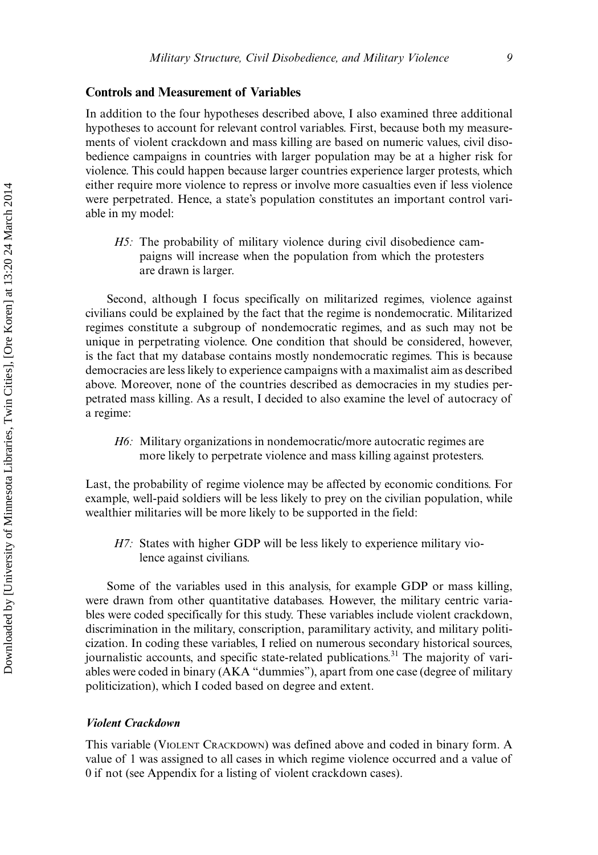#### **Controls and Measurement of Variables**

In addition to the four hypotheses described above, I also examined three additional hypotheses to account for relevant control variables. First, because both my measurements of violent crackdown and mass killing are based on numeric values, civil disobedience campaigns in countries with larger population may be at a higher risk for violence. This could happen because larger countries experience larger protests, which either require more violence to repress or involve more casualties even if less violence were perpetrated. Hence, a state's population constitutes an important control variable in my model:

*H5:* The probability of military violence during civil disobedience campaigns will increase when the population from which the protesters are drawn is larger.

Second, although I focus specifically on militarized regimes, violence against civilians could be explained by the fact that the regime is nondemocratic. Militarized regimes constitute a subgroup of nondemocratic regimes, and as such may not be unique in perpetrating violence. One condition that should be considered, however, is the fact that my database contains mostly nondemocratic regimes. This is because democracies are less likely to experience campaigns with a maximalist aim as described above. Moreover, none of the countries described as democracies in my studies perpetrated mass killing. As a result, I decided to also examine the level of autocracy of a regime:

*H6:* Military organizations in nondemocratic/more autocratic regimes are more likely to perpetrate violence and mass killing against protesters.

Last, the probability of regime violence may be affected by economic conditions. For example, well-paid soldiers will be less likely to prey on the civilian population, while wealthier militaries will be more likely to be supported in the field:

*H7:* States with higher GDP will be less likely to experience military violence against civilians.

Some of the variables used in this analysis, for example GDP or mass killing, were drawn from other quantitative databases. However, the military centric variables were coded specifically for this study. These variables include violent crackdown, discrimination in the military, conscription, paramilitary activity, and military politicization. In coding these variables, I relied on numerous secondary historical sources, journalistic accounts, and specific state-related publications.<sup>31</sup> The majority of variables were coded in binary (AKA "dummies"), apart from one case (degree of military politicization), which I coded based on degree and extent.

#### *Violent Crackdown*

This variable (VIOLENT CRACKDOWN) was defined above and coded in binary form. A value of 1 was assigned to all cases in which regime violence occurred and a value of 0 if not (see Appendix for a listing of violent crackdown cases).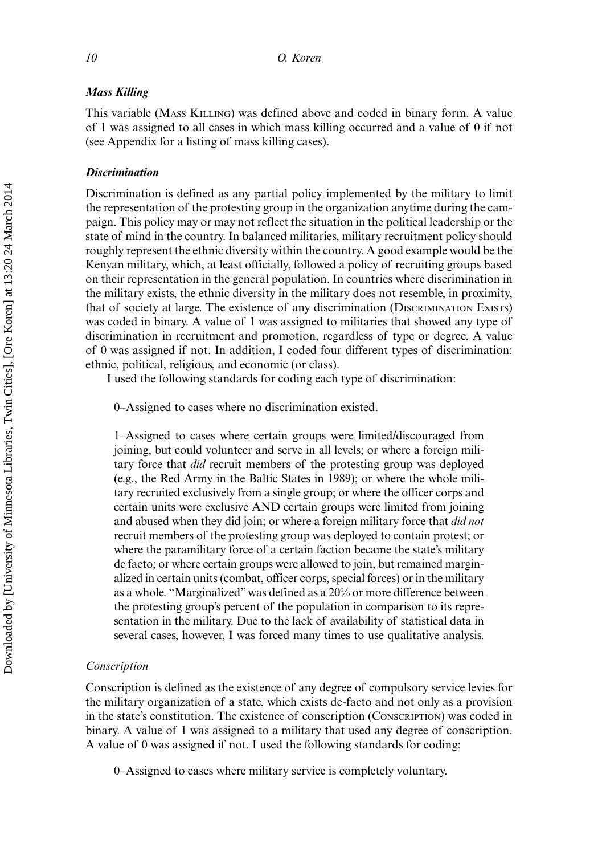#### *Mass Killing*

This variable (MASS KILLING) was defined above and coded in binary form. A value of 1 was assigned to all cases in which mass killing occurred and a value of 0 if not (see Appendix for a listing of mass killing cases).

#### *Discrimination*

Discrimination is defined as any partial policy implemented by the military to limit the representation of the protesting group in the organization anytime during the campaign. This policy may or may not reflect the situation in the political leadership or the state of mind in the country. In balanced militaries, military recruitment policy should roughly represent the ethnic diversity within the country. A good example would be the Kenyan military, which, at least officially, followed a policy of recruiting groups based on their representation in the general population. In countries where discrimination in the military exists, the ethnic diversity in the military does not resemble, in proximity, that of society at large. The existence of any discrimination (DISCRIMINATION EXISTS) was coded in binary. A value of 1 was assigned to militaries that showed any type of discrimination in recruitment and promotion, regardless of type or degree. A value of 0 was assigned if not. In addition, I coded four different types of discrimination: ethnic, political, religious, and economic (or class).

I used the following standards for coding each type of discrimination:

0–Assigned to cases where no discrimination existed.

1–Assigned to cases where certain groups were limited/discouraged from joining, but could volunteer and serve in all levels; or where a foreign military force that *did* recruit members of the protesting group was deployed (e.g., the Red Army in the Baltic States in 1989); or where the whole military recruited exclusively from a single group; or where the officer corps and certain units were exclusive AND certain groups were limited from joining and abused when they did join; or where a foreign military force that *did not* recruit members of the protesting group was deployed to contain protest; or where the paramilitary force of a certain faction became the state's military de facto; or where certain groups were allowed to join, but remained marginalized in certain units (combat, officer corps, special forces) or in the military as a whole. "Marginalized" was defined as a 20% or more difference between the protesting group's percent of the population in comparison to its representation in the military. Due to the lack of availability of statistical data in several cases, however, I was forced many times to use qualitative analysis.

#### *Conscription*

Conscription is defined as the existence of any degree of compulsory service levies for the military organization of a state, which exists de-facto and not only as a provision in the state's constitution. The existence of conscription (CONSCRIPTION) was coded in binary. A value of 1 was assigned to a military that used any degree of conscription. A value of 0 was assigned if not. I used the following standards for coding:

0–Assigned to cases where military service is completely voluntary.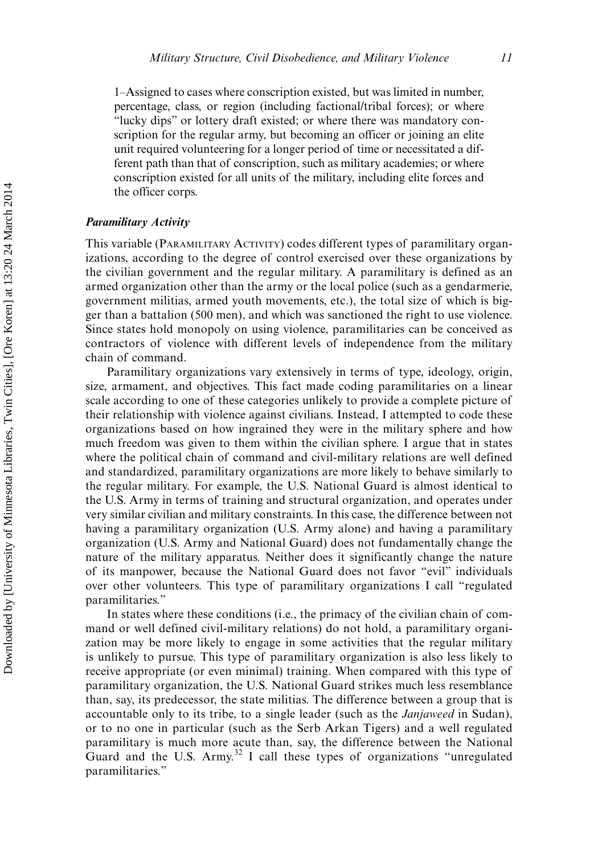1–Assigned to cases where conscription existed, but was limited in number, percentage, class, or region (including factional/tribal forces); or where "lucky dips" or lottery draft existed; or where there was mandatory conscription for the regular army, but becoming an officer or joining an elite unit required volunteering for a longer period of time or necessitated a different path than that of conscription, such as military academies; or where conscription existed for all units of the military, including elite forces and the officer corps.

#### *Paramilitary Activity*

This variable (PARAMILITARY ACTIVITY) codes different types of paramilitary organizations, according to the degree of control exercised over these organizations by the civilian government and the regular military. A paramilitary is defined as an armed organization other than the army or the local police (such as a gendarmerie, government militias, armed youth movements, etc.), the total size of which is bigger than a battalion (500 men), and which was sanctioned the right to use violence. Since states hold monopoly on using violence, paramilitaries can be conceived as contractors of violence with different levels of independence from the military chain of command.

Paramilitary organizations vary extensively in terms of type, ideology, origin, size, armament, and objectives. This fact made coding paramilitaries on a linear scale according to one of these categories unlikely to provide a complete picture of their relationship with violence against civilians. Instead, I attempted to code these organizations based on how ingrained they were in the military sphere and how much freedom was given to them within the civilian sphere. I argue that in states where the political chain of command and civil-military relations are well defined and standardized, paramilitary organizations are more likely to behave similarly to the regular military. For example, the U.S. National Guard is almost identical to the U.S. Army in terms of training and structural organization, and operates under very similar civilian and military constraints. In this case, the difference between not having a paramilitary organization (U.S. Army alone) and having a paramilitary organization (U.S. Army and National Guard) does not fundamentally change the nature of the military apparatus. Neither does it significantly change the nature of its manpower, because the National Guard does not favor "evil" individuals over other volunteers. This type of paramilitary organizations I call "regulated paramilitaries."

In states where these conditions (i.e., the primacy of the civilian chain of command or well defined civil-military relations) do not hold, a paramilitary organization may be more likely to engage in some activities that the regular military is unlikely to pursue. This type of paramilitary organization is also less likely to receive appropriate (or even minimal) training. When compared with this type of paramilitary organization, the U.S. National Guard strikes much less resemblance than, say, its predecessor, the state militias. The difference between a group that is accountable only to its tribe, to a single leader (such as the *Janjaweed* in Sudan), or to no one in particular (such as the Serb Arkan Tigers) and a well regulated paramilitary is much more acute than, say, the difference between the National Guard and the U.S. Army.<sup>32</sup> I call these types of organizations "unregulated paramilitaries."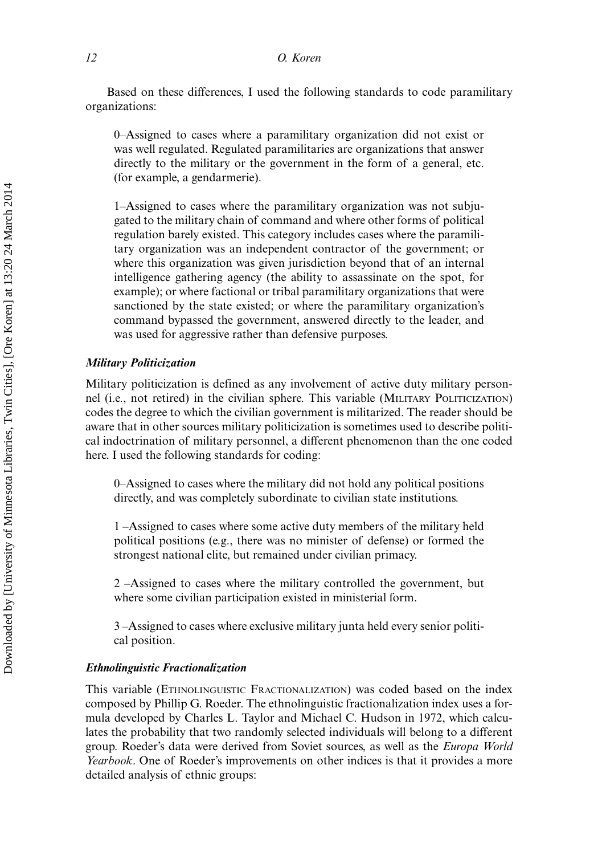Based on these differences, I used the following standards to code paramilitary organizations:

0–Assigned to cases where a paramilitary organization did not exist or was well regulated. Regulated paramilitaries are organizations that answer directly to the military or the government in the form of a general, etc. (for example, a gendarmerie).

1–Assigned to cases where the paramilitary organization was not subjugated to the military chain of command and where other forms of political regulation barely existed. This category includes cases where the paramilitary organization was an independent contractor of the government; or where this organization was given jurisdiction beyond that of an internal intelligence gathering agency (the ability to assassinate on the spot, for example); or where factional or tribal paramilitary organizations that were sanctioned by the state existed; or where the paramilitary organization's command bypassed the government, answered directly to the leader, and was used for aggressive rather than defensive purposes.

#### *Military Politicization*

Military politicization is defined as any involvement of active duty military personnel (i.e., not retired) in the civilian sphere. This variable (MILITARY POLITICIZATION) codes the degree to which the civilian government is militarized. The reader should be aware that in other sources military politicization is sometimes used to describe political indoctrination of military personnel, a different phenomenon than the one coded here. I used the following standards for coding:

0–Assigned to cases where the military did not hold any political positions directly, and was completely subordinate to civilian state institutions.

1 –Assigned to cases where some active duty members of the military held political positions (e.g., there was no minister of defense) or formed the strongest national elite, but remained under civilian primacy.

2 –Assigned to cases where the military controlled the government, but where some civilian participation existed in ministerial form.

3 –Assigned to cases where exclusive military junta held every senior political position.

#### *Ethnolinguistic Fractionalization*

This variable (ETHNOLINGUISTIC FRACTIONALIZATION) was coded based on the index composed by Phillip G. Roeder. The ethnolinguistic fractionalization index uses a formula developed by Charles L. Taylor and Michael C. Hudson in 1972, which calculates the probability that two randomly selected individuals will belong to a different group. Roeder's data were derived from Soviet sources, as well as the *Europa World Yearbook*. One of Roeder's improvements on other indices is that it provides a more detailed analysis of ethnic groups: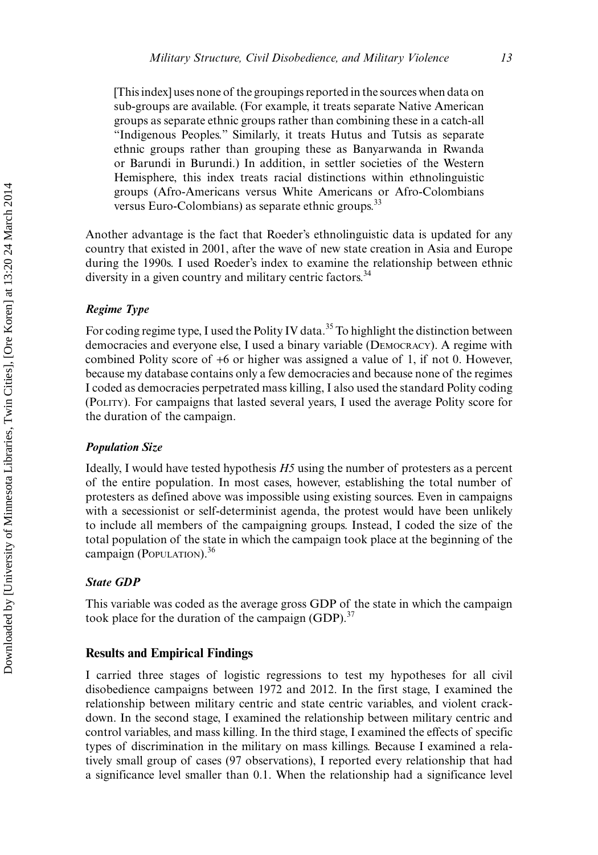[This index] uses none of the groupings reported in the sources when data on sub-groups are available. (For example, it treats separate Native American groups as separate ethnic groups rather than combining these in a catch-all "Indigenous Peoples." Similarly, it treats Hutus and Tutsis as separate ethnic groups rather than grouping these as Banyarwanda in Rwanda or Barundi in Burundi.) In addition, in settler societies of the Western Hemisphere, this index treats racial distinctions within ethnolinguistic groups (Afro-Americans versus White Americans or Afro-Colombians versus Euro-Colombians) as separate ethnic groups.<sup>33</sup>

Another advantage is the fact that Roeder's ethnolinguistic data is updated for any country that existed in 2001, after the wave of new state creation in Asia and Europe during the 1990s. I used Roeder's index to examine the relationship between ethnic diversity in a given country and military centric factors.<sup>34</sup>

#### *Regime Type*

For coding regime type, I used the Polity IV data.<sup>35</sup> To highlight the distinction between democracies and everyone else, I used a binary variable (DEMOCRACY). A regime with combined Polity score of +6 or higher was assigned a value of 1, if not 0. However, because my database contains only a few democracies and because none of the regimes I coded as democracies perpetrated mass killing, I also used the standard Polity coding (POLITY). For campaigns that lasted several years, I used the average Polity score for the duration of the campaign.

#### *Population Size*

Ideally, I would have tested hypothesis *H5* using the number of protesters as a percent of the entire population. In most cases, however, establishing the total number of protesters as defined above was impossible using existing sources. Even in campaigns with a secessionist or self-determinist agenda, the protest would have been unlikely to include all members of the campaigning groups. Instead, I coded the size of the total population of the state in which the campaign took place at the beginning of the campaign (POPULATION).<sup>36</sup>

#### *State GDP*

This variable was coded as the average gross GDP of the state in which the campaign took place for the duration of the campaign (GDP). $^{37}$ 

#### **Results and Empirical Findings**

I carried three stages of logistic regressions to test my hypotheses for all civil disobedience campaigns between 1972 and 2012. In the first stage, I examined the relationship between military centric and state centric variables, and violent crackdown. In the second stage, I examined the relationship between military centric and control variables, and mass killing. In the third stage, I examined the effects of specific types of discrimination in the military on mass killings. Because I examined a relatively small group of cases (97 observations), I reported every relationship that had a significance level smaller than 0.1. When the relationship had a significance level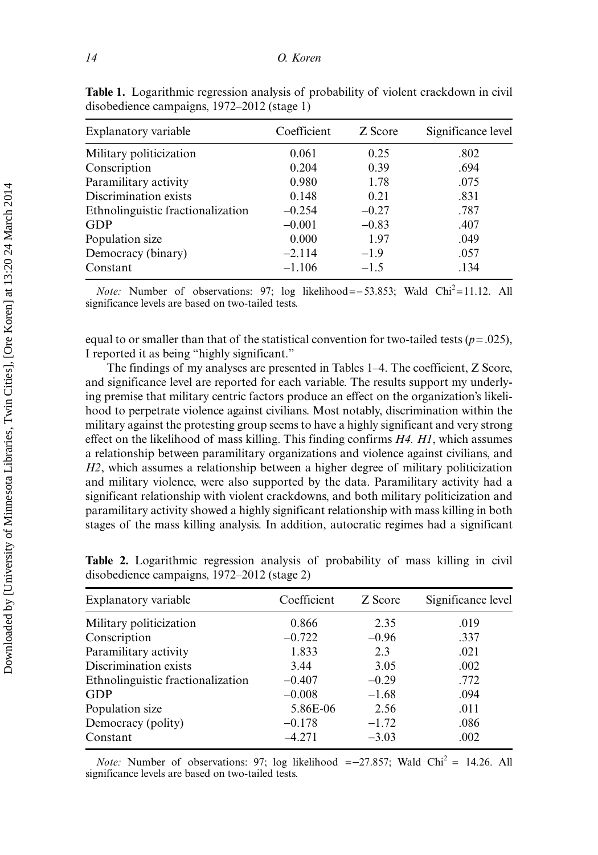| Explanatory variable              | Coefficient | Z Score | Significance level |
|-----------------------------------|-------------|---------|--------------------|
| Military politicization           | 0.061       | 0.25    | .802               |
| Conscription                      | 0.204       | 0.39    | .694               |
| Paramilitary activity             | 0.980       | 1.78    | .075               |
| Discrimination exists             | 0.148       | 0.21    | .831               |
| Ethnolinguistic fractionalization | $-0.254$    | $-0.27$ | .787               |
| <b>GDP</b>                        | $-0.001$    | $-0.83$ | .407               |
| Population size                   | 0.000       | 1.97    | .049               |
| Democracy (binary)                | $-2.114$    | $-1.9$  | .057               |
| Constant                          | $-1.106$    | $-1.5$  | .134               |

**Table 1.** Logarithmic regression analysis of probability of violent crackdown in civil disobedience campaigns, 1972–2012 (stage 1)

*Note:* Number of observations: 97; log likelihood = − 53.853; Wald Chi<sup>2</sup> = 11.12. All significance levels are based on two-tailed tests.

equal to or smaller than that of the statistical convention for two-tailed tests ( $p = .025$ ), I reported it as being "highly significant."

The findings of my analyses are presented in Tables 1–4. The coefficient, Z Score, and significance level are reported for each variable. The results support my underlying premise that military centric factors produce an effect on the organization's likelihood to perpetrate violence against civilians. Most notably, discrimination within the military against the protesting group seems to have a highly significant and very strong effect on the likelihood of mass killing. This finding confirms *H4. H1*, which assumes a relationship between paramilitary organizations and violence against civilians, and *H2*, which assumes a relationship between a higher degree of military politicization and military violence, were also supported by the data. Paramilitary activity had a significant relationship with violent crackdowns, and both military politicization and paramilitary activity showed a highly significant relationship with mass killing in both stages of the mass killing analysis. In addition, autocratic regimes had a significant

| Explanatory variable              | Coefficient | Z Score | Significance level |
|-----------------------------------|-------------|---------|--------------------|
| Military politicization           | 0.866       | 2.35    | .019               |
| Conscription                      | $-0.722$    | $-0.96$ | .337               |
| Paramilitary activity             | 1.833       | 2.3     | .021               |
| Discrimination exists             | 3.44        | 3.05    | .002               |
| Ethnolinguistic fractionalization | $-0.407$    | $-0.29$ | .772               |
| GDP                               | $-0.008$    | $-1.68$ | .094               |
| Population size                   | 5.86E-06    | 2.56    | .011               |
| Democracy (polity)                | $-0.178$    | $-1.72$ | .086               |
| Constant                          | $-4.271$    | $-3.03$ | .002               |
|                                   |             |         |                    |

**Table 2.** Logarithmic regression analysis of probability of mass killing in civil disobedience campaigns, 1972–2012 (stage 2)

*Note:* Number of observations: 97; log likelihood =−27.857; Wald Chi<sup>2</sup> = 14.26. All significance levels are based on two-tailed tests.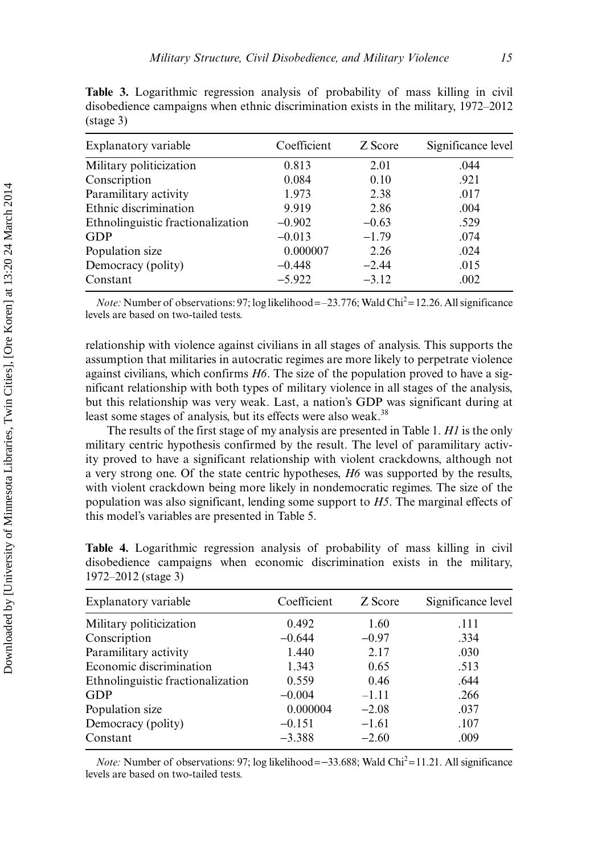| Explanatory variable              | Coefficient | Z Score | Significance level |
|-----------------------------------|-------------|---------|--------------------|
| Military politicization           | 0.813       | 2.01    | .044               |
| Conscription                      | 0.084       | 0.10    | .921               |
| Paramilitary activity             | 1.973       | 2.38    | .017               |
| Ethnic discrimination             | 9.919       | 2.86    | .004               |
| Ethnolinguistic fractionalization | $-0.902$    | $-0.63$ | .529               |
| <b>GDP</b>                        | $-0.013$    | $-1.79$ | .074               |
| Population size                   | 0.000007    | 2.26    | .024               |
| Democracy (polity)                | $-0.448$    | $-2.44$ | .015               |
| Constant                          | $-5.922$    | $-3.12$ | .002               |
|                                   |             |         |                    |

**Table 3.** Logarithmic regression analysis of probability of mass killing in civil disobedience campaigns when ethnic discrimination exists in the military, 1972–2012 (stage 3)

*Note:* Number of observations: 97; log likelihood =  $-23.776$ ; Wald Chi<sup>2</sup> = 12.26. All significance levels are based on two-tailed tests.

relationship with violence against civilians in all stages of analysis. This supports the assumption that militaries in autocratic regimes are more likely to perpetrate violence against civilians, which confirms *H6*. The size of the population proved to have a significant relationship with both types of military violence in all stages of the analysis, but this relationship was very weak. Last, a nation's GDP was significant during at least some stages of analysis, but its effects were also weak.<sup>38</sup>

The results of the first stage of my analysis are presented in Table 1. *H1* is the only military centric hypothesis confirmed by the result. The level of paramilitary activity proved to have a significant relationship with violent crackdowns, although not a very strong one. Of the state centric hypotheses, *H6* was supported by the results, with violent crackdown being more likely in nondemocratic regimes. The size of the population was also significant, lending some support to *H5*. The marginal effects of this model's variables are presented in Table 5.

**Table 4.** Logarithmic regression analysis of probability of mass killing in civil disobedience campaigns when economic discrimination exists in the military, 1972–2012 (stage 3)

| Explanatory variable              | Coefficient | Z Score | Significance level |  |
|-----------------------------------|-------------|---------|--------------------|--|
| Military politicization           | 0.492       | 1.60    | .111               |  |
| Conscription                      | $-0.644$    | $-0.97$ | .334               |  |
| Paramilitary activity             | 1.440       | 2.17    | .030               |  |
| Economic discrimination           | 1.343       | 0.65    | .513               |  |
| Ethnolinguistic fractionalization | 0.559       | 0.46    | .644               |  |
| GDP                               | $-0.004$    | $-1.11$ | .266               |  |
| Population size                   | 0.000004    | $-2.08$ | .037               |  |
| Democracy (polity)                | $-0.151$    | $-1.61$ | .107               |  |
| Constant                          | $-3.388$    | $-2.60$ | .009               |  |

*Note:* Number of observations: 97; log likelihood = −33.688; Wald Chi<sup>2</sup> = 11.21. All significance levels are based on two-tailed tests.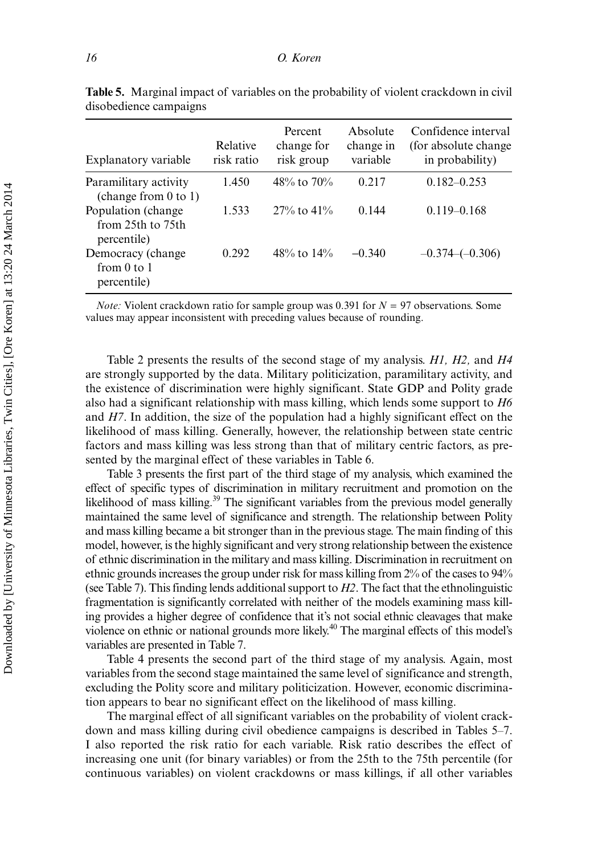| Explanatory variable                                    | Relative<br>risk ratio | Percent<br>change for<br>risk group | Absolute<br>change in<br>variable | Confidence interval<br>(for absolute change)<br>in probability) |
|---------------------------------------------------------|------------------------|-------------------------------------|-----------------------------------|-----------------------------------------------------------------|
| Paramilitary activity<br>(change from $0$ to $1$ )      | 1.450                  | $48\%$ to $70\%$                    | 0.217                             | $0.182 - 0.253$                                                 |
| Population (change)<br>from 25th to 75th<br>percentile) | 1.533                  | $27\%$ to $41\%$                    | 0.144                             | $0.119 - 0.168$                                                 |
| Democracy (change<br>from $0$ to $1$<br>percentile)     | 0.292                  | 48\% to $14\%$                      | $-0.340$                          | $-0.374(-0.306)$                                                |

**Table 5.** Marginal impact of variables on the probability of violent crackdown in civil disobedience campaigns

*Note:* Violent crackdown ratio for sample group was 0.391 for *N* = 97 observations. Some values may appear inconsistent with preceding values because of rounding.

Table 2 presents the results of the second stage of my analysis. *H1, H2,* and *H4* are strongly supported by the data. Military politicization, paramilitary activity, and the existence of discrimination were highly significant. State GDP and Polity grade also had a significant relationship with mass killing, which lends some support to *H6* and *H7*. In addition, the size of the population had a highly significant effect on the likelihood of mass killing. Generally, however, the relationship between state centric factors and mass killing was less strong than that of military centric factors, as presented by the marginal effect of these variables in Table 6.

Table 3 presents the first part of the third stage of my analysis, which examined the effect of specific types of discrimination in military recruitment and promotion on the likelihood of mass killing. $39$  The significant variables from the previous model generally maintained the same level of significance and strength. The relationship between Polity and mass killing became a bit stronger than in the previous stage. The main finding of this model, however, is the highly significant and very strong relationship between the existence of ethnic discrimination in the military and mass killing. Discrimination in recruitment on ethnic grounds increases the group under risk for mass killing from 2% of the cases to 94% (see Table 7). This finding lends additional support to *H2*. The fact that the ethnolinguistic fragmentation is significantly correlated with neither of the models examining mass killing provides a higher degree of confidence that it's not social ethnic cleavages that make violence on ethnic or national grounds more likely.40 The marginal effects of this model's variables are presented in Table 7.

Table 4 presents the second part of the third stage of my analysis. Again, most variables from the second stage maintained the same level of significance and strength, excluding the Polity score and military politicization. However, economic discrimination appears to bear no significant effect on the likelihood of mass killing.

The marginal effect of all significant variables on the probability of violent crackdown and mass killing during civil obedience campaigns is described in Tables 5–7. I also reported the risk ratio for each variable. Risk ratio describes the effect of increasing one unit (for binary variables) or from the 25th to the 75th percentile (for continuous variables) on violent crackdowns or mass killings, if all other variables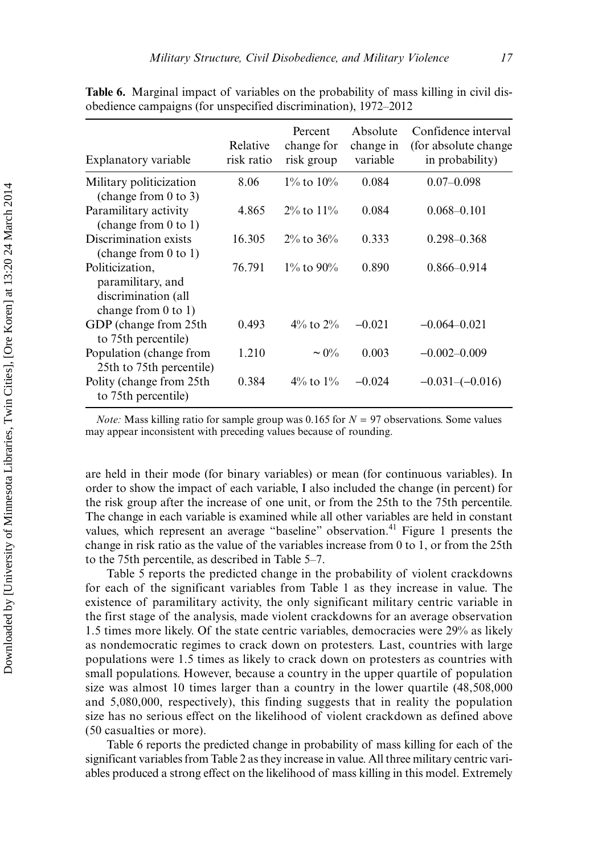| Explanatory variable                                                                    | Relative<br>risk ratio | Percent<br>change for<br>risk group | Absolute<br>change in<br>variable | Confidence interval<br>(for absolute change)<br>in probability) |
|-----------------------------------------------------------------------------------------|------------------------|-------------------------------------|-----------------------------------|-----------------------------------------------------------------|
| Military politicization<br>(change from $0$ to $3$ )                                    | 8.06                   | $1\%$ to $10\%$                     | 0.084                             | $0.07 - 0.098$                                                  |
| Paramilitary activity<br>(change from $0$ to $1$ )                                      | 4.865                  | $2\%$ to $11\%$                     | 0.084                             | $0.068 - 0.101$                                                 |
| Discrimination exists<br>(change from $0$ to $1$ )                                      | 16.305                 | $2\%$ to $36\%$                     | 0.333                             | $0.298 - 0.368$                                                 |
| Politicization,<br>paramilitary, and<br>discrimination (all<br>change from $0$ to $1$ ) | 76.791                 | 1\% to 90\%                         | 0.890                             | $0.866 - 0.914$                                                 |
| GDP (change from 25th)<br>to 75th percentile)                                           | 0.493                  | $4\%$ to $2\%$                      | $-0.021$                          | $-0.064 - 0.021$                                                |
| Population (change from<br>25th to 75th percentile)                                     | 1.210                  | $\sim 0\%$                          | 0.003                             | $-0.002 - 0.009$                                                |
| Polity (change from 25th)<br>to 75th percentile)                                        | 0.384                  | $4\%$ to $1\%$                      | $-0.024$                          | $-0.031(-0.016)$                                                |

**Table 6.** Marginal impact of variables on the probability of mass killing in civil disobedience campaigns (for unspecified discrimination), 1972–2012

*Note:* Mass killing ratio for sample group was 0.165 for  $N = 97$  observations. Some values may appear inconsistent with preceding values because of rounding.

are held in their mode (for binary variables) or mean (for continuous variables). In order to show the impact of each variable, I also included the change (in percent) for the risk group after the increase of one unit, or from the 25th to the 75th percentile. The change in each variable is examined while all other variables are held in constant values, which represent an average "baseline" observation.<sup>41</sup> Figure 1 presents the change in risk ratio as the value of the variables increase from 0 to 1, or from the 25th to the 75th percentile, as described in Table 5–7.

Table 5 reports the predicted change in the probability of violent crackdowns for each of the significant variables from Table 1 as they increase in value. The existence of paramilitary activity, the only significant military centric variable in the first stage of the analysis, made violent crackdowns for an average observation 1.5 times more likely. Of the state centric variables, democracies were 29% as likely as nondemocratic regimes to crack down on protesters. Last, countries with large populations were 1.5 times as likely to crack down on protesters as countries with small populations. However, because a country in the upper quartile of population size was almost 10 times larger than a country in the lower quartile (48,508,000 and 5,080,000, respectively), this finding suggests that in reality the population size has no serious effect on the likelihood of violent crackdown as defined above (50 casualties or more).

Table 6 reports the predicted change in probability of mass killing for each of the significant variables from Table 2 as they increase in value. All three military centric variables produced a strong effect on the likelihood of mass killing in this model. Extremely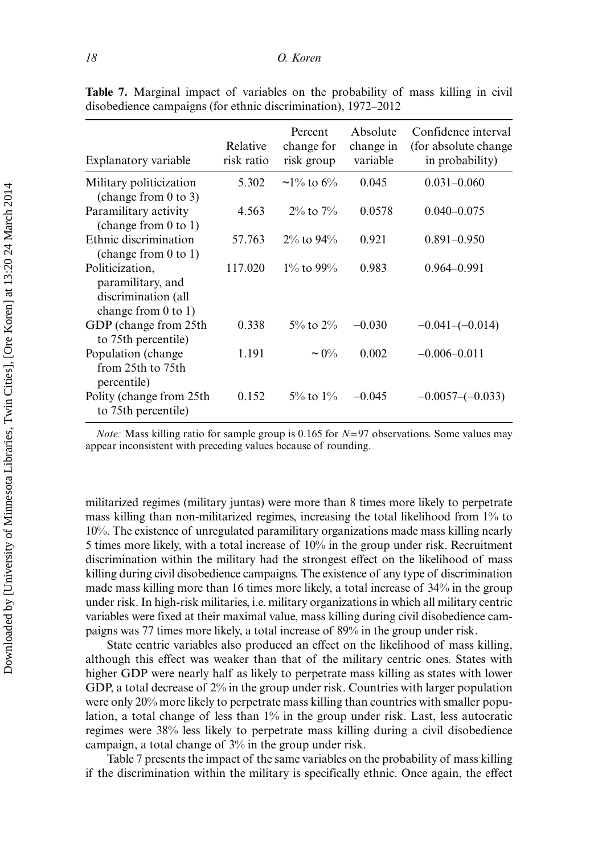| Explanatory variable                                                                    | Relative<br>risk ratio | Percent<br>change for<br>risk group | Absolute<br>change in<br>variable | Confidence interval<br>(for absolute change)<br>in probability) |
|-----------------------------------------------------------------------------------------|------------------------|-------------------------------------|-----------------------------------|-----------------------------------------------------------------|
| Military politicization<br>(change from $0$ to $3$ )                                    | 5.302                  | $\sim$ 1% to 6%                     | 0.045                             | $0.031 - 0.060$                                                 |
| Paramilitary activity<br>(change from $0$ to $1$ )                                      | 4.563                  | $2\%$ to $7\%$                      | 0.0578                            | $0.040 - 0.075$                                                 |
| Ethnic discrimination<br>(change from $0$ to $1$ )                                      | 57.763                 | $2\%$ to 94%                        | 0.921                             | $0.891 - 0.950$                                                 |
| Politicization,<br>paramilitary, and<br>discrimination (all<br>change from $0$ to $1$ ) | 117.020                | $1\%$ to 99%                        | 0.983                             | $0.964 - 0.991$                                                 |
| GDP (change from 25th)<br>to 75th percentile)                                           | 0.338                  | $5\%$ to $2\%$                      | $-0.030$                          | $-0.041(-0.014)$                                                |
| Population (change)<br>from 25th to 75th<br>percentile)                                 | 1.191                  | $\sim 0\%$                          | 0.002                             | $-0.006 - 0.011$                                                |
| Polity (change from 25th)<br>to 75th percentile)                                        | 0.152                  | $5\%$ to $1\%$                      | $-0.045$                          | $-0.0057(-0.033)$                                               |

**Table 7.** Marginal impact of variables on the probability of mass killing in civil disobedience campaigns (for ethnic discrimination), 1972–2012

*Note:* Mass killing ratio for sample group is 0.165 for *N*=97 observations. Some values may appear inconsistent with preceding values because of rounding.

militarized regimes (military juntas) were more than 8 times more likely to perpetrate mass killing than non-militarized regimes, increasing the total likelihood from 1% to 10%. The existence of unregulated paramilitary organizations made mass killing nearly 5 times more likely, with a total increase of 10% in the group under risk. Recruitment discrimination within the military had the strongest effect on the likelihood of mass killing during civil disobedience campaigns. The existence of any type of discrimination made mass killing more than 16 times more likely, a total increase of 34% in the group under risk. In high-risk militaries, i.e. military organizations in which all military centric variables were fixed at their maximal value, mass killing during civil disobedience campaigns was 77 times more likely, a total increase of 89% in the group under risk.

State centric variables also produced an effect on the likelihood of mass killing, although this effect was weaker than that of the military centric ones. States with higher GDP were nearly half as likely to perpetrate mass killing as states with lower GDP, a total decrease of 2% in the group under risk. Countries with larger population were only 20% more likely to perpetrate mass killing than countries with smaller population, a total change of less than 1% in the group under risk. Last, less autocratic regimes were 38% less likely to perpetrate mass killing during a civil disobedience campaign, a total change of 3% in the group under risk.

Table 7 presents the impact of the same variables on the probability of mass killing if the discrimination within the military is specifically ethnic. Once again, the effect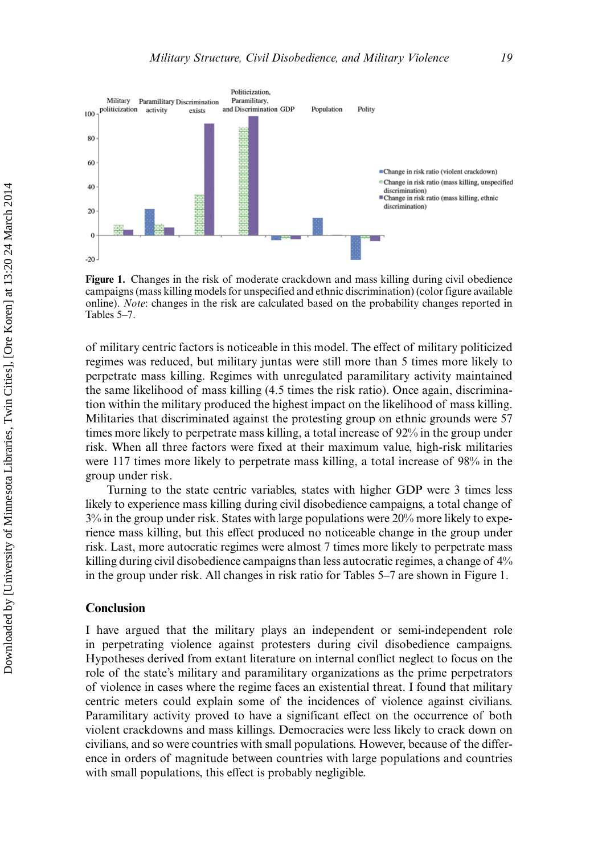

**Figure 1.** Changes in the risk of moderate crackdown and mass killing during civil obedience campaigns (mass killing models for unspecified and ethnic discrimination) (color figure available online). *Note*: changes in the risk are calculated based on the probability changes reported in Tables 5–7.

of military centric factors is noticeable in this model. The effect of military politicized regimes was reduced, but military juntas were still more than 5 times more likely to perpetrate mass killing. Regimes with unregulated paramilitary activity maintained the same likelihood of mass killing (4.5 times the risk ratio). Once again, discrimination within the military produced the highest impact on the likelihood of mass killing. Militaries that discriminated against the protesting group on ethnic grounds were 57 times more likely to perpetrate mass killing, a total increase of 92% in the group under risk. When all three factors were fixed at their maximum value, high-risk militaries were 117 times more likely to perpetrate mass killing, a total increase of 98% in the group under risk.

Turning to the state centric variables, states with higher GDP were 3 times less likely to experience mass killing during civil disobedience campaigns, a total change of 3% in the group under risk. States with large populations were 20% more likely to experience mass killing, but this effect produced no noticeable change in the group under risk. Last, more autocratic regimes were almost 7 times more likely to perpetrate mass killing during civil disobedience campaigns than less autocratic regimes, a change of 4% in the group under risk. All changes in risk ratio for Tables 5–7 are shown in Figure 1.

#### **Conclusion**

I have argued that the military plays an independent or semi-independent role in perpetrating violence against protesters during civil disobedience campaigns. Hypotheses derived from extant literature on internal conflict neglect to focus on the role of the state's military and paramilitary organizations as the prime perpetrators of violence in cases where the regime faces an existential threat. I found that military centric meters could explain some of the incidences of violence against civilians. Paramilitary activity proved to have a significant effect on the occurrence of both violent crackdowns and mass killings. Democracies were less likely to crack down on civilians, and so were countries with small populations. However, because of the difference in orders of magnitude between countries with large populations and countries with small populations, this effect is probably negligible.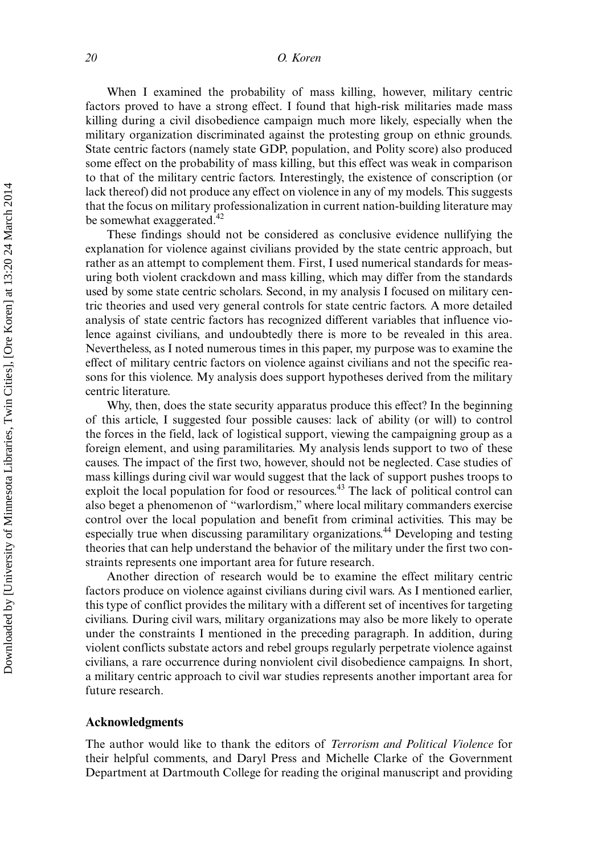#### *20 O. Koren*

When I examined the probability of mass killing, however, military centric factors proved to have a strong effect. I found that high-risk militaries made mass killing during a civil disobedience campaign much more likely, especially when the military organization discriminated against the protesting group on ethnic grounds. State centric factors (namely state GDP, population, and Polity score) also produced some effect on the probability of mass killing, but this effect was weak in comparison to that of the military centric factors. Interestingly, the existence of conscription (or lack thereof) did not produce any effect on violence in any of my models. This suggests that the focus on military professionalization in current nation-building literature may be somewhat exaggerated.<sup>42</sup>

These findings should not be considered as conclusive evidence nullifying the explanation for violence against civilians provided by the state centric approach, but rather as an attempt to complement them. First, I used numerical standards for measuring both violent crackdown and mass killing, which may differ from the standards used by some state centric scholars. Second, in my analysis I focused on military centric theories and used very general controls for state centric factors. A more detailed analysis of state centric factors has recognized different variables that influence violence against civilians, and undoubtedly there is more to be revealed in this area. Nevertheless, as I noted numerous times in this paper, my purpose was to examine the effect of military centric factors on violence against civilians and not the specific reasons for this violence. My analysis does support hypotheses derived from the military centric literature.

Why, then, does the state security apparatus produce this effect? In the beginning of this article, I suggested four possible causes: lack of ability (or will) to control the forces in the field, lack of logistical support, viewing the campaigning group as a foreign element, and using paramilitaries. My analysis lends support to two of these causes. The impact of the first two, however, should not be neglected. Case studies of mass killings during civil war would suggest that the lack of support pushes troops to exploit the local population for food or resources.<sup>43</sup> The lack of political control can also beget a phenomenon of "warlordism," where local military commanders exercise control over the local population and benefit from criminal activities. This may be especially true when discussing paramilitary organizations.<sup>44</sup> Developing and testing theories that can help understand the behavior of the military under the first two constraints represents one important area for future research.

Another direction of research would be to examine the effect military centric factors produce on violence against civilians during civil wars. As I mentioned earlier, this type of conflict provides the military with a different set of incentives for targeting civilians. During civil wars, military organizations may also be more likely to operate under the constraints I mentioned in the preceding paragraph. In addition, during violent conflicts substate actors and rebel groups regularly perpetrate violence against civilians, a rare occurrence during nonviolent civil disobedience campaigns. In short, a military centric approach to civil war studies represents another important area for future research.

#### **Acknowledgments**

The author would like to thank the editors of *Terrorism and Political Violence* for their helpful comments, and Daryl Press and Michelle Clarke of the Government Department at Dartmouth College for reading the original manuscript and providing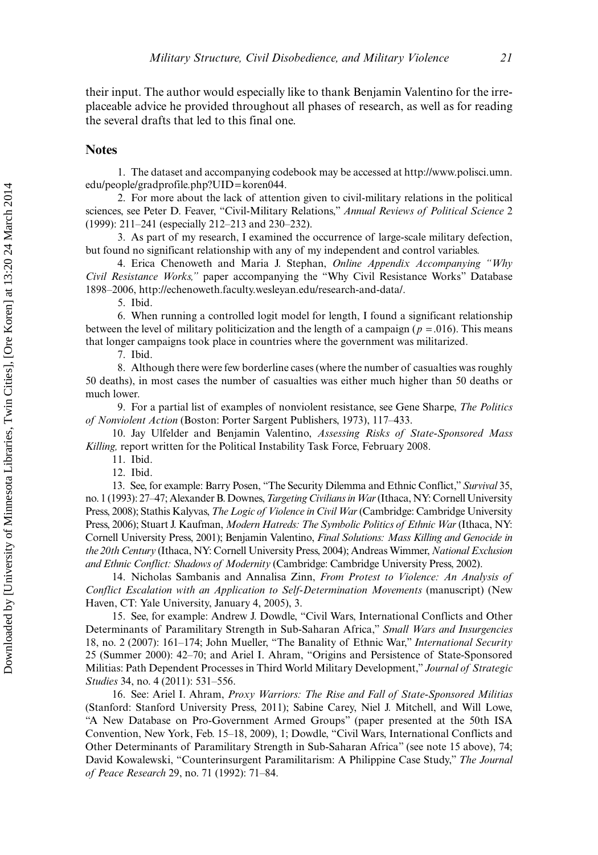their input. The author would especially like to thank Benjamin Valentino for the irreplaceable advice he provided throughout all phases of research, as well as for reading the several drafts that led to this final one.

#### **Notes**

1. The dataset and accompanying codebook may be accessed at http://www.polisci.umn. edu/people/gradprofile.php?UID = koren044.

2. For more about the lack of attention given to civil-military relations in the political sciences, see Peter D. Feaver, "Civil-Military Relations," *Annual Reviews of Political Science* 2 (1999): 211–241 (especially 212–213 and 230–232).

3. As part of my research, I examined the occurrence of large-scale military defection, but found no significant relationship with any of my independent and control variables.

4. Erica Chenoweth and Maria J. Stephan, *Online Appendix Accompanying "Why Civil Resistance Works,"* paper accompanying the "Why Civil Resistance Works" Database 1898–2006, http://echenoweth.faculty.wesleyan.edu/research-and-data/.

5. Ibid.

6. When running a controlled logit model for length, I found a significant relationship between the level of military politicization and the length of a campaign ( $p = .016$ ). This means that longer campaigns took place in countries where the government was militarized.

7. Ibid.

8. Although there were few borderline cases (where the number of casualties was roughly 50 deaths), in most cases the number of casualties was either much higher than 50 deaths or much lower.

9. For a partial list of examples of nonviolent resistance, see Gene Sharpe, *The Politics of Nonviolent Action* (Boston: Porter Sargent Publishers, 1973), 117–433.

10. Jay Ulfelder and Benjamin Valentino, *Assessing Risks of State-Sponsored Mass Killing,* report written for the Political Instability Task Force, February 2008.

11. Ibid.

12. Ibid.

13. See, for example: Barry Posen, "The Security Dilemma and Ethnic Conflict," *Survival* 35, no. 1 (1993): 27–47; Alexander B. Downes, *Targeting Civilians in War* (Ithaca, NY: Cornell University Press, 2008); Stathis Kalyvas, *The Logic of Violence in Civil War* (Cambridge: Cambridge University Press, 2006); Stuart J. Kaufman, *Modern Hatreds: The Symbolic Politics of Ethnic War* (Ithaca, NY: Cornell University Press, 2001); Benjamin Valentino, *Final Solutions: Mass Killing and Genocide in the 20th Century* (Ithaca, NY: Cornell University Press, 2004); Andreas Wimmer, *National Exclusion and Ethnic Conflict: Shadows of Modernity* (Cambridge: Cambridge University Press, 2002).

14. Nicholas Sambanis and Annalisa Zinn, *From Protest to Violence: An Analysis of Conflict Escalation with an Application to Self-Determination Movements* (manuscript) (New Haven, CT: Yale University, January 4, 2005), 3.

15. See, for example: Andrew J. Dowdle, "Civil Wars, International Conflicts and Other Determinants of Paramilitary Strength in Sub-Saharan Africa," *Small Wars and Insurgencies*  18, no. 2 (2007): 161–174; John Mueller, "The Banality of Ethnic War," *International Security*  25 (Summer 2000): 42–70; and Ariel I. Ahram, "Origins and Persistence of State-Sponsored Militias: Path Dependent Processes in Third World Military Development," *Journal of Strategic Studies* 34, no. 4 (2011): 531–556.

16. See: Ariel I. Ahram, *Proxy Warriors: The Rise and Fall of State-Sponsored Militias*  (Stanford: Stanford University Press, 2011); Sabine Carey, Niel J. Mitchell, and Will Lowe, "A New Database on Pro-Government Armed Groups" (paper presented at the 50th ISA Convention, New York, Feb. 15–18, 2009), 1; Dowdle, "Civil Wars, International Conflicts and Other Determinants of Paramilitary Strength in Sub-Saharan Africa" (see note 15 above), 74; David Kowalewski, "Counterinsurgent Paramilitarism: A Philippine Case Study," *The Journal of Peace Research* 29, no. 71 (1992): 71–84.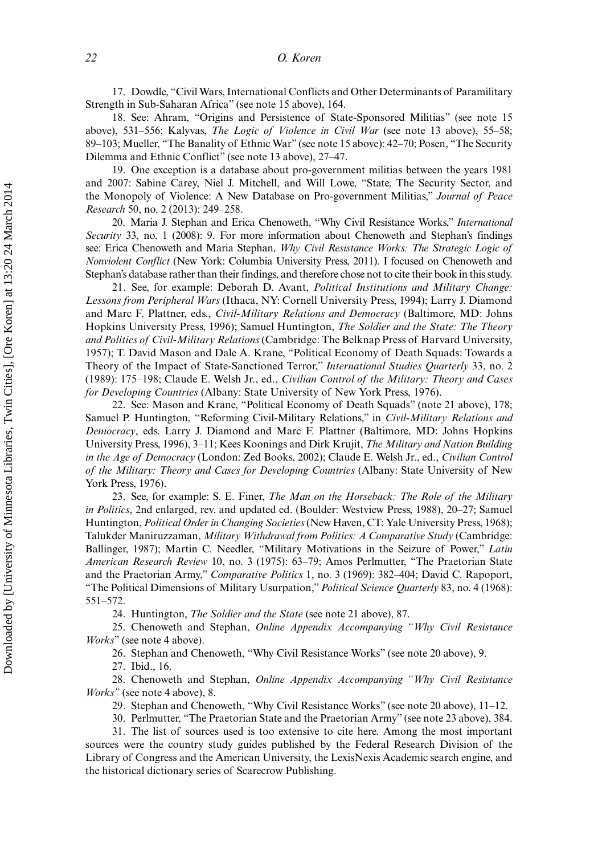17. Dowdle, "Civil Wars, International Conflicts and Other Determinants of Paramilitary Strength in Sub-Saharan Africa" (see note 15 above), 164.

18. See: Ahram, "Origins and Persistence of State-Sponsored Militias" (see note 15 above), 531–556; Kalyvas, *The Logic of Violence in Civil War* (see note 13 above), 55–58; 89–103; Mueller, "The Banality of Ethnic War" (see note 15 above): 42–70; Posen, "The Security Dilemma and Ethnic Conflict" (see note 13 above), 27–47.

19. One exception is a database about pro-government militias between the years 1981 and 2007: Sabine Carey, Niel J. Mitchell, and Will Lowe, "State, The Security Sector, and the Monopoly of Violence: A New Database on Pro-government Militias," *Journal of Peace Research* 50, no. 2 (2013): 249–258.

20. Maria J. Stephan and Erica Chenoweth, "Why Civil Resistance Works," *International Security* 33, no. 1 (2008): 9. For more information about Chenoweth and Stephan's findings see: Erica Chenoweth and Maria Stephan, *Why Civil Resistance Works: The Strategic Logic of Nonviolent Conflict* (New York: Columbia University Press, 2011). I focused on Chenoweth and Stephan's database rather than their findings, and therefore chose not to cite their book in this study.

21. See, for example: Deborah D. Avant, *Political Institutions and Military Change: Lessons from Peripheral Wars* (Ithaca, NY: Cornell University Press, 1994); Larry J. Diamond and Marc F. Plattner, eds., *Civil-Military Relations and Democracy* (Baltimore, MD: Johns Hopkins University Press, 1996); Samuel Huntington, *The Soldier and the State: The Theory and Politics of Civil-Military Relations* (Cambridge: The Belknap Press of Harvard University, 1957); T. David Mason and Dale A. Krane, "Political Economy of Death Squads: Towards a Theory of the Impact of State-Sanctioned Terror," *International Studies Quarterly* 33, no. 2 (1989): 175–198; Claude E. Welsh Jr., ed., *Civilian Control of the Military: Theory and Cases for Developing Countries* (Albany: State University of New York Press, 1976).

22. See: Mason and Krane, "Political Economy of Death Squads" (note 21 above), 178; Samuel P. Huntington, "Reforming Civil-Military Relations," in *Civil-Military Relations and Democracy*, eds. Larry J. Diamond and Marc F. Plattner (Baltimore, MD: Johns Hopkins University Press, 1996), 3–11; Kees Koonings and Dirk Krujit, *The Military and Nation Building in the Age of Democracy* (London: Zed Books, 2002); Claude E. Welsh Jr., ed., *Civilian Control of the Military: Theory and Cases for Developing Countries* (Albany: State University of New York Press, 1976).

23. See, for example: S. E. Finer, *The Man on the Horseback: The Role of the Military in Politics*, 2nd enlarged, rev. and updated ed. (Boulder: Westview Press, 1988), 20–27; Samuel Huntington, *Political Order in Changing Societies* (New Haven, CT: Yale University Press, 1968); Talukder Maniruzzaman, *Military Withdrawal from Politics: A Comparative Study* (Cambridge: Ballinger, 1987); Martin C. Needler, "Military Motivations in the Seizure of Power," *Latin American Research Review* 10, no. 3 (1975): 63–79; Amos Perlmutter, "The Praetorian State and the Praetorian Army," *Comparative Politics* 1, no. 3 (1969): 382–404; David C. Rapoport, "The Political Dimensions of Military Usurpation," *Political Science Quarterly* 83, no. 4 (1968): 551–572.

24. Huntington, *The Soldier and the State* (see note 21 above), 87.

25. Chenoweth and Stephan, *Online Appendix Accompanying "Why Civil Resistance Works*" (see note 4 above).

26. Stephan and Chenoweth, "Why Civil Resistance Works" (see note 20 above), 9.

27. Ibid., 16.

28. Chenoweth and Stephan, *Online Appendix Accompanying "Why Civil Resistance Works"* (see note 4 above), 8.

29. Stephan and Chenoweth, "Why Civil Resistance Works" (see note 20 above), 11–12.

30. Perlmutter, "The Praetorian State and the Praetorian Army" (see note 23 above), 384.

31. The list of sources used is too extensive to cite here. Among the most important sources were the country study guides published by the Federal Research Division of the Library of Congress and the American University, the LexisNexis Academic search engine, and the historical dictionary series of Scarecrow Publishing.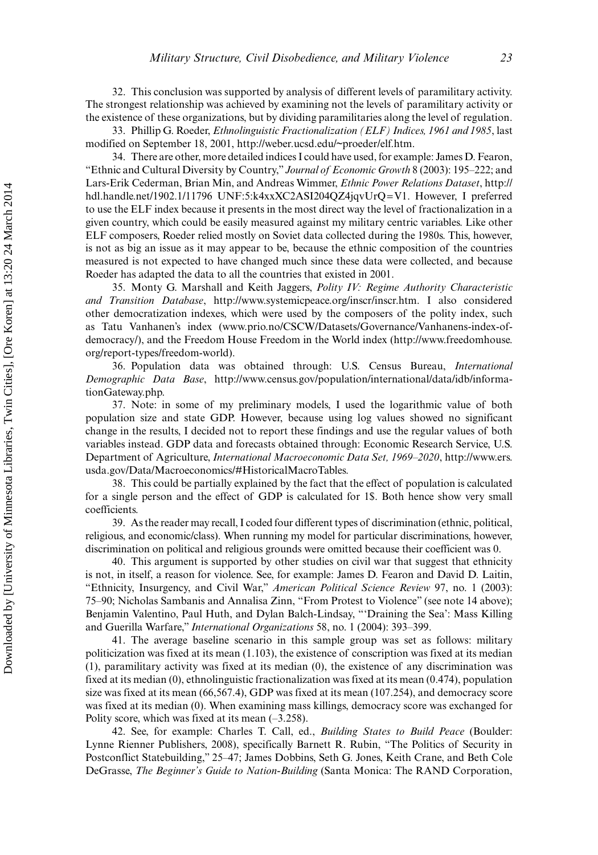32. This conclusion was supported by analysis of different levels of paramilitary activity. The strongest relationship was achieved by examining not the levels of paramilitary activity or the existence of these organizations, but by dividing paramilitaries along the level of regulation.

33. Phillip G. Roeder, *Ethnolinguistic Fractionalization (ELF) Indices, 1961 and 1985*, last modified on September 18, 2001, http://weber.ucsd.edu/~proeder/elf.htm.

34. There are other, more detailed indices I could have used, for example: James D. Fearon, "Ethnic and Cultural Diversity by Country," *Journal of Economic Growth* 8 (2003): 195–222; and Lars-Erik Cederman, Brian Min, and Andreas Wimmer, *Ethnic Power Relations Dataset*, http:// hdl.handle.net/1902.1/11796 UNF:5:k4xxXC2ASI204QZ4jqvUrQ=V1. However, I preferred to use the ELF index because it presents in the most direct way the level of fractionalization in a given country, which could be easily measured against my military centric variables. Like other ELF composers, Roeder relied mostly on Soviet data collected during the 1980s. This, however, is not as big an issue as it may appear to be, because the ethnic composition of the countries measured is not expected to have changed much since these data were collected, and because Roeder has adapted the data to all the countries that existed in 2001.

35. Monty G. Marshall and Keith Jaggers, *Polity IV: Regime Authority Characteristic and Transition Database*, http://www.systemicpeace.org/inscr/inscr.htm. I also considered other democratization indexes, which were used by the composers of the polity index, such as Tatu Vanhanen's index (www.prio.no/CSCW/Datasets/Governance/Vanhanens-index-ofdemocracy/), and the Freedom House Freedom in the World index (http://www.freedomhouse. org/report-types/freedom-world).

36. Population data was obtained through: U.S. Census Bureau, *International Demographic Data Base*, http://www.census.gov/population/international/data/idb/informationGateway.php.

37. Note: in some of my preliminary models, I used the logarithmic value of both population size and state GDP. However, because using log values showed no significant change in the results, I decided not to report these findings and use the regular values of both variables instead. GDP data and forecasts obtained through: Economic Research Service, U.S. Department of Agriculture, *International Macroeconomic Data Set, 1969–2020*, http://www.ers. usda.gov/Data/Macroeconomics/#HistoricalMacroTables.

38. This could be partially explained by the fact that the effect of population is calculated for a single person and the effect of GDP is calculated for 1\$. Both hence show very small coefficients.

39. As the reader may recall, I coded four different types of discrimination (ethnic, political, religious, and economic/class). When running my model for particular discriminations, however, discrimination on political and religious grounds were omitted because their coefficient was 0.

40. This argument is supported by other studies on civil war that suggest that ethnicity is not, in itself, a reason for violence. See, for example: James D. Fearon and David D. Laitin, "Ethnicity, Insurgency, and Civil War," *American Political Science Review* 97, no. 1 (2003): 75–90; Nicholas Sambanis and Annalisa Zinn, "From Protest to Violence" (see note 14 above); Benjamin Valentino, Paul Huth, and Dylan Balch-Lindsay, " 'Draining the Sea': Mass Killing and Guerilla Warfare," *International Organizations* 58, no. 1 (2004): 393–399.

41. The average baseline scenario in this sample group was set as follows: military politicization was fixed at its mean (1.103), the existence of conscription was fixed at its median (1), paramilitary activity was fixed at its median (0), the existence of any discrimination was fixed at its median (0), ethnolinguistic fractionalization was fixed at its mean (0.474), population size was fixed at its mean (66,567.4), GDP was fixed at its mean (107.254), and democracy score was fixed at its median (0). When examining mass killings, democracy score was exchanged for Polity score, which was fixed at its mean (–3.258).

42. See, for example: Charles T. Call, ed., *Building States to Build Peace* (Boulder: Lynne Rienner Publishers, 2008), specifically Barnett R. Rubin, "The Politics of Security in Postconflict Statebuilding," 25–47; James Dobbins, Seth G. Jones, Keith Crane, and Beth Cole DeGrasse, *The Beginner's Guide to Nation-Building* (Santa Monica: The RAND Corporation,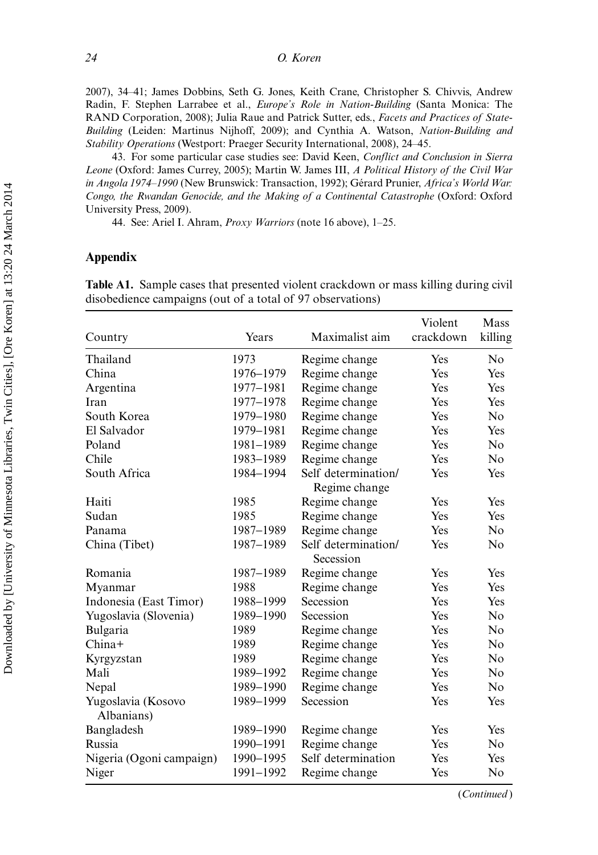2007), 34–41; James Dobbins, Seth G. Jones, Keith Crane, Christopher S. Chivvis, Andrew Radin, F. Stephen Larrabee et al., *Europe's Role in Nation-Building* (Santa Monica: The RAND Corporation, 2008); Julia Raue and Patrick Sutter, eds., *Facets and Practices of State-Building* (Leiden: Martinus Nijhoff, 2009); and Cynthia A. Watson, *Nation-Building and Stability Operations* (Westport: Praeger Security International, 2008), 24–45.

43. For some particular case studies see: David Keen, *Conflict and Conclusion in Sierra Leone* (Oxford: James Currey, 2005); Martin W. James III, *A Political History of the Civil War in Angola 1974–1990* (New Brunswick: Transaction, 1992); Gérard Prunier, *Africa's World War:*  Congo, the Rwandan Genocide, and the Making of a Continental Catastrophe (Oxford: Oxford University Press, 2009).

44. See: Ariel I. Ahram, *Proxy Warriors* (note 16 above), 1–25.

#### **Appendix**

**Table A1.** Sample cases that presented violent crackdown or mass killing during civil disobedience campaigns (out of a total of 97 observations)

| Country                          | Years     | Maximalist aim                       | Violent<br>crackdown | Mass<br>killing |
|----------------------------------|-----------|--------------------------------------|----------------------|-----------------|
| Thailand                         | 1973      | Regime change                        | Yes                  | N <sub>o</sub>  |
| China                            | 1976-1979 | Regime change                        | Yes                  | <b>Yes</b>      |
| Argentina                        | 1977-1981 | Regime change                        | Yes                  | Yes             |
| Iran                             | 1977-1978 | Regime change                        | Yes                  | Yes             |
| South Korea                      | 1979-1980 | Regime change                        | Yes                  | N <sub>o</sub>  |
| El Salvador                      | 1979-1981 | Regime change                        | Yes                  | Yes             |
| Poland                           | 1981-1989 | Regime change                        | Yes                  | No              |
| Chile                            | 1983-1989 | Regime change                        | Yes                  | No              |
| South Africa                     | 1984-1994 | Self determination/<br>Regime change | Yes                  | Yes             |
| Haiti                            | 1985      | Regime change                        | Yes                  | Yes             |
| Sudan                            | 1985      | Regime change                        | Yes                  | Yes             |
| Panama                           | 1987-1989 | Regime change                        | Yes                  | N <sub>o</sub>  |
| China (Tibet)                    | 1987-1989 | Self determination/<br>Secession     | Yes                  | No              |
| Romania                          | 1987-1989 | Regime change                        | <b>Yes</b>           | <b>Yes</b>      |
| Myanmar                          | 1988      | Regime change                        | Yes                  | Yes             |
| Indonesia (East Timor)           | 1988-1999 | Secession                            | <b>Yes</b>           | Yes             |
| Yugoslavia (Slovenia)            | 1989-1990 | Secession                            | Yes                  | N <sub>o</sub>  |
| Bulgaria                         | 1989      | Regime change                        | Yes                  | N <sub>o</sub>  |
| China+                           | 1989      | Regime change                        | Yes                  | No              |
| Kyrgyzstan                       | 1989      | Regime change                        | Yes                  | No              |
| Mali                             | 1989-1992 | Regime change                        | Yes                  | N <sub>o</sub>  |
| Nepal                            | 1989-1990 | Regime change                        | Yes                  | No              |
| Yugoslavia (Kosovo<br>Albanians) | 1989-1999 | Secession                            | Yes                  | Yes             |
| Bangladesh                       | 1989-1990 | Regime change                        | Yes                  | Yes             |
| Russia                           | 1990-1991 | Regime change                        | Yes                  | No              |
| Nigeria (Ogoni campaign)         | 1990-1995 | Self determination                   | Yes                  | Yes             |
| Niger                            | 1991-1992 | Regime change                        | Yes                  | No              |